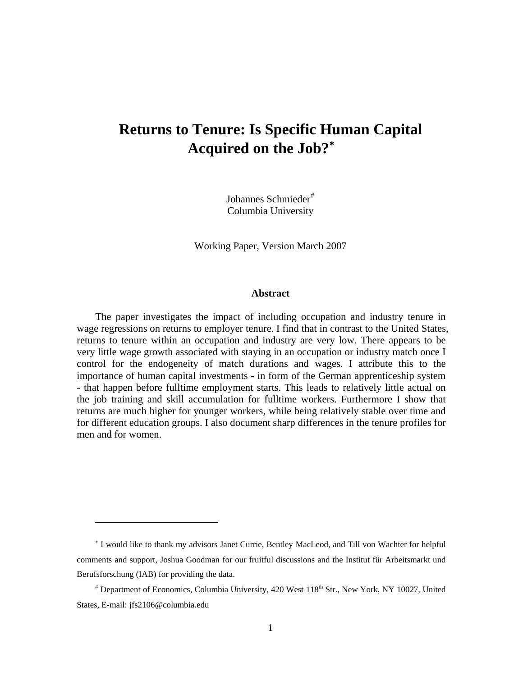# **Returns to Tenure: Is Specific Human Capital Acquired on the Job?**[∗](#page-0-0)

Johannes Schmieder<sup>[#](#page-0-1)</sup> Columbia University

Working Paper, Version March 2007

#### **Abstract**

The paper investigates the impact of including occupation and industry tenure in wage regressions on returns to employer tenure. I find that in contrast to the United States, returns to tenure within an occupation and industry are very low. There appears to be very little wage growth associated with staying in an occupation or industry match once I control for the endogeneity of match durations and wages. I attribute this to the importance of human capital investments - in form of the German apprenticeship system - that happen before fulltime employment starts. This leads to relatively little actual on the job training and skill accumulation for fulltime workers. Furthermore I show that returns are much higher for younger workers, while being relatively stable over time and for different education groups. I also document sharp differences in the tenure profiles for men and for women.

 $\overline{a}$ 

<span id="page-0-0"></span><sup>∗</sup> I would like to thank my advisors Janet Currie, Bentley MacLeod, and Till von Wachter for helpful comments and support, Joshua Goodman for our fruitful discussions and the Institut für Arbeitsmarkt und Berufsforschung (IAB) for providing the data.

<span id="page-0-1"></span><sup>#</sup> Department of Economics, Columbia University, 420 West 118<sup>th</sup> Str., New York, NY 10027, United States, E-mail: jfs2106@columbia.edu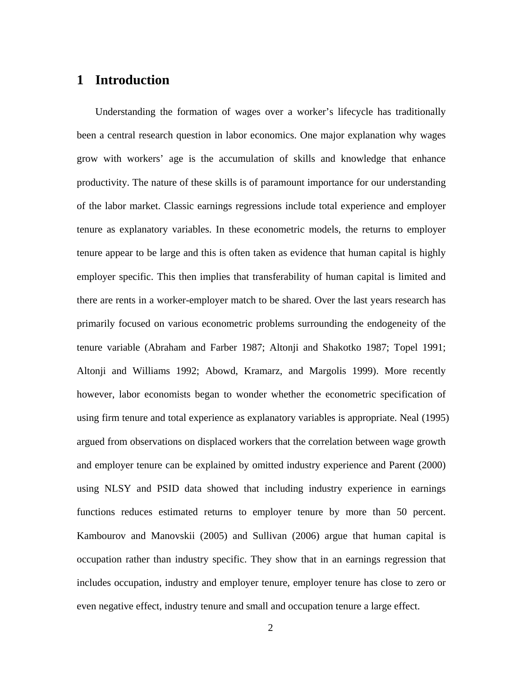### **1 Introduction**

Understanding the formation of wages over a worker's lifecycle has traditionally been a central research question in labor economics. One major explanation why wages grow with workers' age is the accumulation of skills and knowledge that enhance productivity. The nature of these skills is of paramount importance for our understanding of the labor market. Classic earnings regressions include total experience and employer tenure as explanatory variables. In these econometric models, the returns to employer tenure appear to be large and this is often taken as evidence that human capital is highly employer specific. This then implies that transferability of human capital is limited and there are rents in a worker-employer match to be shared. Over the last years research has primarily focused on various econometric problems surrounding the endogeneity of the tenure variable (Abraham and Farber 1987; Altonji and Shakotko 1987; Topel 1991; Altonji and Williams 1992; Abowd, Kramarz, and Margolis 1999). More recently however, labor economists began to wonder whether the econometric specification of using firm tenure and total experience as explanatory variables is appropriate. Neal (1995) argued from observations on displaced workers that the correlation between wage growth and employer tenure can be explained by omitted industry experience and Parent (2000) using NLSY and PSID data showed that including industry experience in earnings functions reduces estimated returns to employer tenure by more than 50 percent. Kambourov and Manovskii (2005) and Sullivan (2006) argue that human capital is occupation rather than industry specific. They show that in an earnings regression that includes occupation, industry and employer tenure, employer tenure has close to zero or even negative effect, industry tenure and small and occupation tenure a large effect.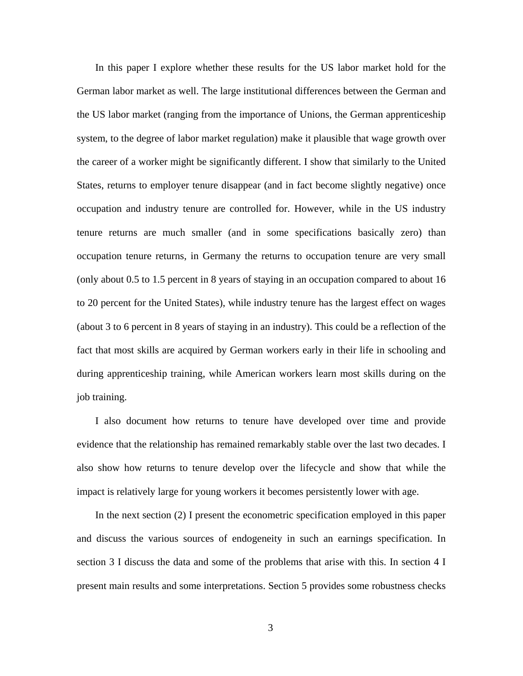In this paper I explore whether these results for the US labor market hold for the German labor market as well. The large institutional differences between the German and the US labor market (ranging from the importance of Unions, the German apprenticeship system, to the degree of labor market regulation) make it plausible that wage growth over the career of a worker might be significantly different. I show that similarly to the United States, returns to employer tenure disappear (and in fact become slightly negative) once occupation and industry tenure are controlled for. However, while in the US industry tenure returns are much smaller (and in some specifications basically zero) than occupation tenure returns, in Germany the returns to occupation tenure are very small (only about 0.5 to 1.5 percent in 8 years of staying in an occupation compared to about 16 to 20 percent for the United States), while industry tenure has the largest effect on wages (about 3 to 6 percent in 8 years of staying in an industry). This could be a reflection of the fact that most skills are acquired by German workers early in their life in schooling and during apprenticeship training, while American workers learn most skills during on the job training.

I also document how returns to tenure have developed over time and provide evidence that the relationship has remained remarkably stable over the last two decades. I also show how returns to tenure develop over the lifecycle and show that while the impact is relatively large for young workers it becomes persistently lower with age.

In the next section (2) I present the econometric specification employed in this paper and discuss the various sources of endogeneity in such an earnings specification. In section 3 I discuss the data and some of the problems that arise with this. In section 4 I present main results and some interpretations. Section 5 provides some robustness checks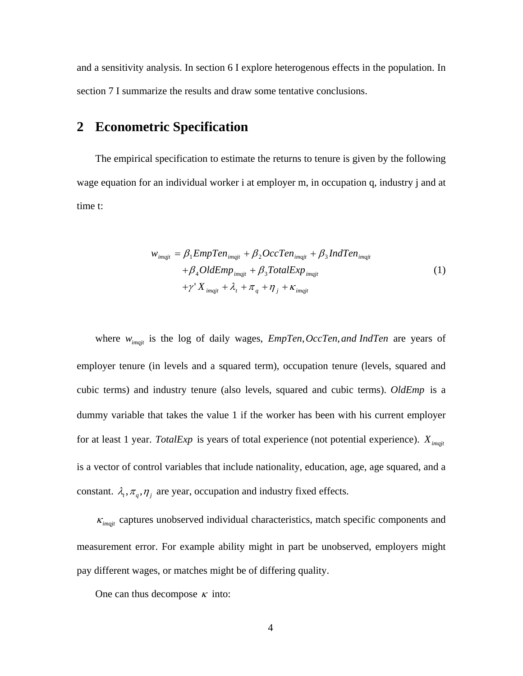and a sensitivity analysis. In section 6 I explore heterogenous effects in the population. In section 7 I summarize the results and draw some tentative conclusions.

## **2 Econometric Specification**

The empirical specification to estimate the returns to tenure is given by the following wage equation for an individual worker i at employer m, in occupation q, industry j and at time t:

$$
w_{imqjt} = \beta_1 EmpTen_{imqjt} + \beta_2 OccTen_{imqjt} + \beta_3 IndTen_{imqjt}
$$
  
+  $\beta_4 OldEmp_{imqjt} + \beta_3 TotalExp_{imqjt}$   
+  $\gamma' X_{imqjt} + \lambda_t + \pi_q + \eta_j + \kappa_{imqjt}$  (1)

where  $w_{\text{im}qj}$  is the log of daily wages,  $EmpTen$ ,  $OccTen$ , and IndTen are years of employer tenure (in levels and a squared term), occupation tenure (levels, squared and cubic terms) and industry tenure (also levels, squared and cubic terms). *OldEmp* is a dummy variable that takes the value 1 if the worker has been with his current employer for at least 1 year. *TotalExp* is years of total experience (not potential experience).  $X_{\text{imqit}}$ is a vector of control variables that include nationality, education, age, age squared, and a constant.  $\lambda_t$ ,  $\pi_q$ ,  $\eta_j$  are year, occupation and industry fixed effects.

 $\kappa_{\textit{imqjt}}$  captures unobserved individual characteristics, match specific components and measurement error. For example ability might in part be unobserved, employers might pay different wages, or matches might be of differing quality.

One can thus decompose  $\kappa$  into: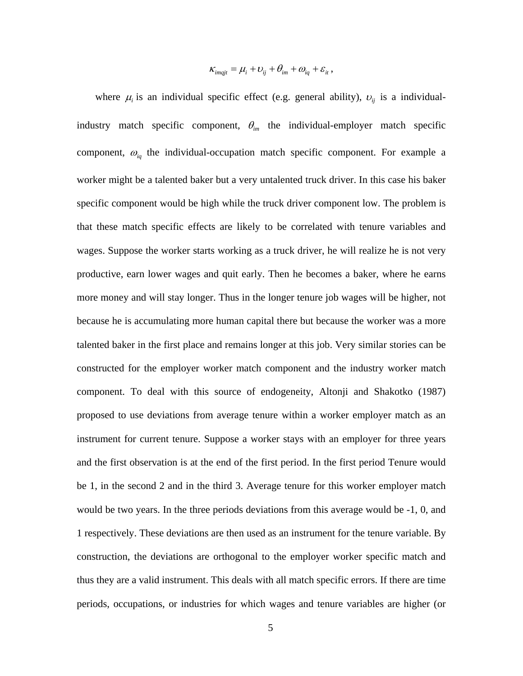$$
\kappa_{imqjt} = \mu_i + \nu_{ij} + \theta_{im} + \omega_{iq} + \varepsilon_{it},
$$

where  $\mu_i$  is an individual specific effect (e.g. general ability),  $v_{ij}$  is a individualindustry match specific component,  $\theta_{im}$  the individual-employer match specific component, <sup>ω</sup>*iq* the individual-occupation match specific component. For example a worker might be a talented baker but a very untalented truck driver. In this case his baker specific component would be high while the truck driver component low. The problem is that these match specific effects are likely to be correlated with tenure variables and wages. Suppose the worker starts working as a truck driver, he will realize he is not very productive, earn lower wages and quit early. Then he becomes a baker, where he earns more money and will stay longer. Thus in the longer tenure job wages will be higher, not because he is accumulating more human capital there but because the worker was a more talented baker in the first place and remains longer at this job. Very similar stories can be constructed for the employer worker match component and the industry worker match component. To deal with this source of endogeneity, Altonji and Shakotko (1987) proposed to use deviations from average tenure within a worker employer match as an instrument for current tenure. Suppose a worker stays with an employer for three years and the first observation is at the end of the first period. In the first period Tenure would be 1, in the second 2 and in the third 3. Average tenure for this worker employer match would be two years. In the three periods deviations from this average would be -1, 0, and 1 respectively. These deviations are then used as an instrument for the tenure variable. By construction, the deviations are orthogonal to the employer worker specific match and thus they are a valid instrument. This deals with all match specific errors. If there are time periods, occupations, or industries for which wages and tenure variables are higher (or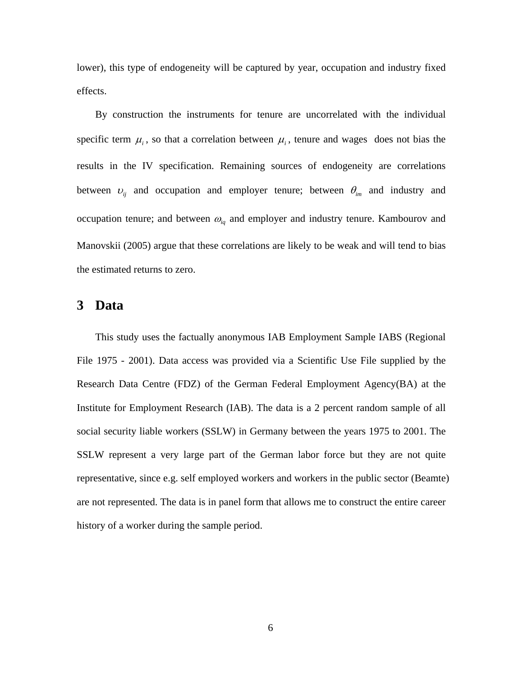lower), this type of endogeneity will be captured by year, occupation and industry fixed effects.

By construction the instruments for tenure are uncorrelated with the individual specific term  $\mu_i$ , so that a correlation between  $\mu_i$ , tenure and wages does not bias the results in the IV specification. Remaining sources of endogeneity are correlations between  $v_{ij}$  and occupation and employer tenure; between  $\theta_{im}$  and industry and occupation tenure; and between  $\omega_{iq}$  and employer and industry tenure. Kambourov and Manovskii (2005) argue that these correlations are likely to be weak and will tend to bias the estimated returns to zero.

#### **3 Data**

This study uses the factually anonymous IAB Employment Sample IABS (Regional File 1975 - 2001). Data access was provided via a Scientific Use File supplied by the Research Data Centre (FDZ) of the German Federal Employment Agency(BA) at the Institute for Employment Research (IAB). The data is a 2 percent random sample of all social security liable workers (SSLW) in Germany between the years 1975 to 2001. The SSLW represent a very large part of the German labor force but they are not quite representative, since e.g. self employed workers and workers in the public sector (Beamte) are not represented. The data is in panel form that allows me to construct the entire career history of a worker during the sample period.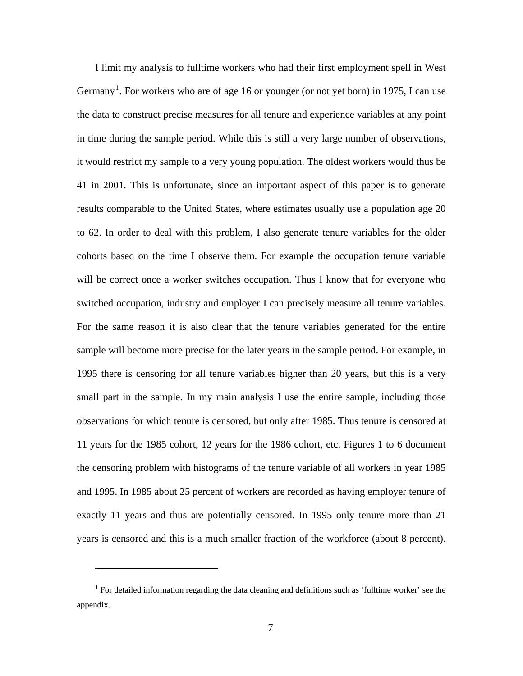I limit my analysis to fulltime workers who had their first employment spell in West Germany<sup>[1](#page-6-0)</sup>. For workers who are of age 16 or younger (or not yet born) in 1975, I can use the data to construct precise measures for all tenure and experience variables at any point in time during the sample period. While this is still a very large number of observations, it would restrict my sample to a very young population. The oldest workers would thus be 41 in 2001. This is unfortunate, since an important aspect of this paper is to generate results comparable to the United States, where estimates usually use a population age 20 to 62. In order to deal with this problem, I also generate tenure variables for the older cohorts based on the time I observe them. For example the occupation tenure variable will be correct once a worker switches occupation. Thus I know that for everyone who switched occupation, industry and employer I can precisely measure all tenure variables. For the same reason it is also clear that the tenure variables generated for the entire sample will become more precise for the later years in the sample period. For example, in 1995 there is censoring for all tenure variables higher than 20 years, but this is a very small part in the sample. In my main analysis I use the entire sample, including those observations for which tenure is censored, but only after 1985. Thus tenure is censored at 11 years for the 1985 cohort, 12 years for the 1986 cohort, etc. Figures 1 to 6 document the censoring problem with histograms of the tenure variable of all workers in year 1985 and 1995. In 1985 about 25 percent of workers are recorded as having employer tenure of exactly 11 years and thus are potentially censored. In 1995 only tenure more than 21 years is censored and this is a much smaller fraction of the workforce (about 8 percent).

 $\overline{a}$ 

<span id="page-6-0"></span><sup>&</sup>lt;sup>1</sup> For detailed information regarding the data cleaning and definitions such as 'fulltime worker' see the appendix.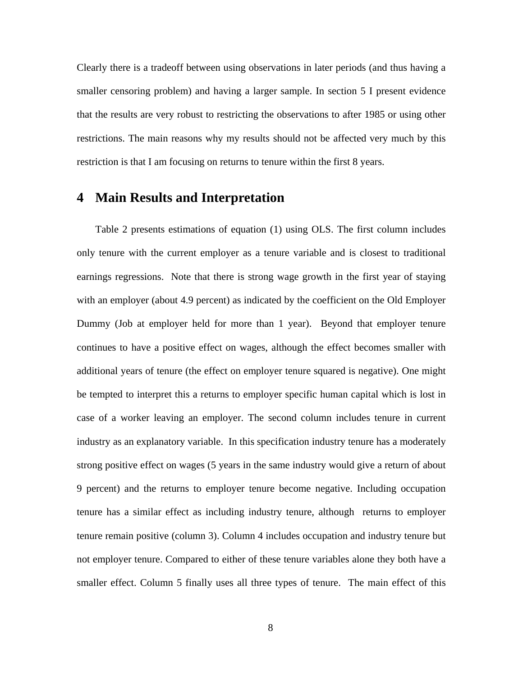Clearly there is a tradeoff between using observations in later periods (and thus having a smaller censoring problem) and having a larger sample. In section 5 I present evidence that the results are very robust to restricting the observations to after 1985 or using other restrictions. The main reasons why my results should not be affected very much by this restriction is that I am focusing on returns to tenure within the first 8 years.

## **4 Main Results and Interpretation**

Table 2 presents estimations of equation (1) using OLS. The first column includes only tenure with the current employer as a tenure variable and is closest to traditional earnings regressions. Note that there is strong wage growth in the first year of staying with an employer (about 4.9 percent) as indicated by the coefficient on the Old Employer Dummy (Job at employer held for more than 1 year). Beyond that employer tenure continues to have a positive effect on wages, although the effect becomes smaller with additional years of tenure (the effect on employer tenure squared is negative). One might be tempted to interpret this a returns to employer specific human capital which is lost in case of a worker leaving an employer. The second column includes tenure in current industry as an explanatory variable. In this specification industry tenure has a moderately strong positive effect on wages (5 years in the same industry would give a return of about 9 percent) and the returns to employer tenure become negative. Including occupation tenure has a similar effect as including industry tenure, although returns to employer tenure remain positive (column 3). Column 4 includes occupation and industry tenure but not employer tenure. Compared to either of these tenure variables alone they both have a smaller effect. Column 5 finally uses all three types of tenure. The main effect of this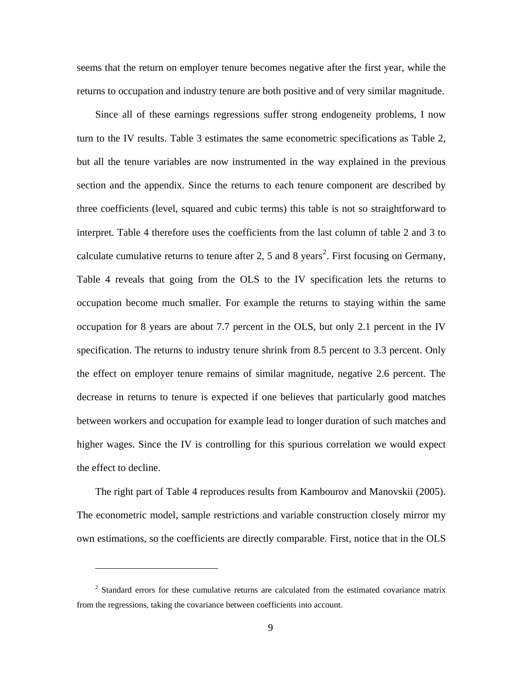seems that the return on employer tenure becomes negative after the first year, while the returns to occupation and industry tenure are both positive and of very similar magnitude.

Since all of these earnings regressions suffer strong endogeneity problems, I now turn to the IV results. Table 3 estimates the same econometric specifications as Table 2, but all the tenure variables are now instrumented in the way explained in the previous section and the appendix. Since the returns to each tenure component are described by three coefficients (level, squared and cubic terms) this table is not so straightforward to interpret. Table 4 therefore uses the coefficients from the last column of table 2 and 3 to calculate cumulative returns to tenure after [2](#page-8-0), 5 and 8 years<sup>2</sup>. First focusing on Germany, Table 4 reveals that going from the OLS to the IV specification lets the returns to occupation become much smaller. For example the returns to staying within the same occupation for 8 years are about 7.7 percent in the OLS, but only 2.1 percent in the IV specification. The returns to industry tenure shrink from 8.5 percent to 3.3 percent. Only the effect on employer tenure remains of similar magnitude, negative 2.6 percent. The decrease in returns to tenure is expected if one believes that particularly good matches between workers and occupation for example lead to longer duration of such matches and higher wages. Since the IV is controlling for this spurious correlation we would expect the effect to decline.

The right part of Table 4 reproduces results from Kambourov and Manovskii (2005). The econometric model, sample restrictions and variable construction closely mirror my own estimations, so the coefficients are directly comparable. First, notice that in the OLS

 $\overline{a}$ 

<span id="page-8-0"></span><sup>&</sup>lt;sup>2</sup> Standard errors for these cumulative returns are calculated from the estimated covariance matrix from the regressions, taking the covariance between coefficients into account.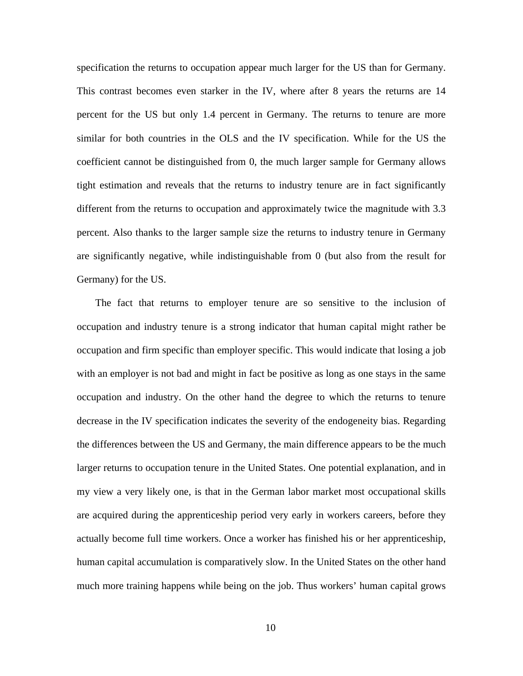specification the returns to occupation appear much larger for the US than for Germany. This contrast becomes even starker in the IV, where after 8 years the returns are 14 percent for the US but only 1.4 percent in Germany. The returns to tenure are more similar for both countries in the OLS and the IV specification. While for the US the coefficient cannot be distinguished from 0, the much larger sample for Germany allows tight estimation and reveals that the returns to industry tenure are in fact significantly different from the returns to occupation and approximately twice the magnitude with 3.3 percent. Also thanks to the larger sample size the returns to industry tenure in Germany are significantly negative, while indistinguishable from 0 (but also from the result for Germany) for the US.

The fact that returns to employer tenure are so sensitive to the inclusion of occupation and industry tenure is a strong indicator that human capital might rather be occupation and firm specific than employer specific. This would indicate that losing a job with an employer is not bad and might in fact be positive as long as one stays in the same occupation and industry. On the other hand the degree to which the returns to tenure decrease in the IV specification indicates the severity of the endogeneity bias. Regarding the differences between the US and Germany, the main difference appears to be the much larger returns to occupation tenure in the United States. One potential explanation, and in my view a very likely one, is that in the German labor market most occupational skills are acquired during the apprenticeship period very early in workers careers, before they actually become full time workers. Once a worker has finished his or her apprenticeship, human capital accumulation is comparatively slow. In the United States on the other hand much more training happens while being on the job. Thus workers' human capital grows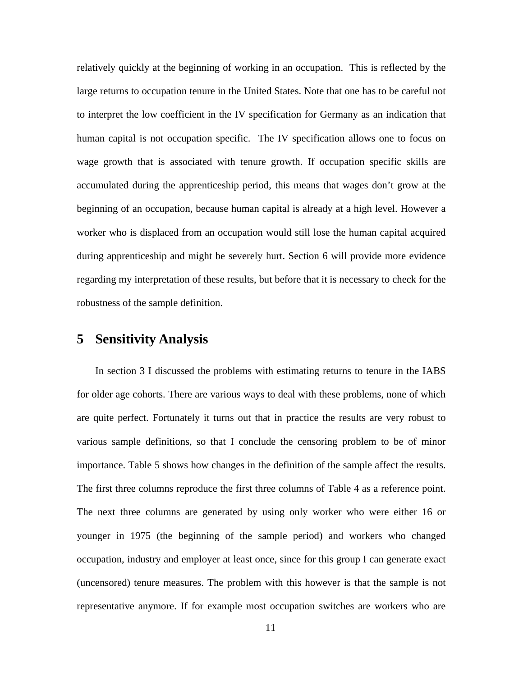relatively quickly at the beginning of working in an occupation. This is reflected by the large returns to occupation tenure in the United States. Note that one has to be careful not to interpret the low coefficient in the IV specification for Germany as an indication that human capital is not occupation specific. The IV specification allows one to focus on wage growth that is associated with tenure growth. If occupation specific skills are accumulated during the apprenticeship period, this means that wages don't grow at the beginning of an occupation, because human capital is already at a high level. However a worker who is displaced from an occupation would still lose the human capital acquired during apprenticeship and might be severely hurt. Section 6 will provide more evidence regarding my interpretation of these results, but before that it is necessary to check for the robustness of the sample definition.

## **5 Sensitivity Analysis**

In section 3 I discussed the problems with estimating returns to tenure in the IABS for older age cohorts. There are various ways to deal with these problems, none of which are quite perfect. Fortunately it turns out that in practice the results are very robust to various sample definitions, so that I conclude the censoring problem to be of minor importance. Table 5 shows how changes in the definition of the sample affect the results. The first three columns reproduce the first three columns of Table 4 as a reference point. The next three columns are generated by using only worker who were either 16 or younger in 1975 (the beginning of the sample period) and workers who changed occupation, industry and employer at least once, since for this group I can generate exact (uncensored) tenure measures. The problem with this however is that the sample is not representative anymore. If for example most occupation switches are workers who are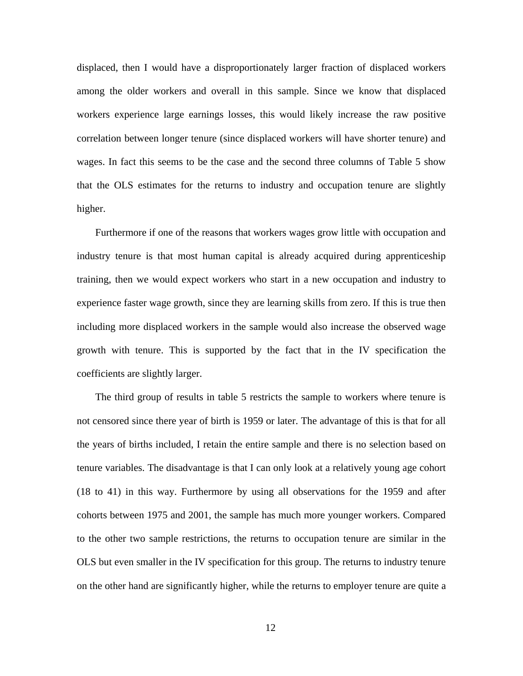displaced, then I would have a disproportionately larger fraction of displaced workers among the older workers and overall in this sample. Since we know that displaced workers experience large earnings losses, this would likely increase the raw positive correlation between longer tenure (since displaced workers will have shorter tenure) and wages. In fact this seems to be the case and the second three columns of Table 5 show that the OLS estimates for the returns to industry and occupation tenure are slightly higher.

Furthermore if one of the reasons that workers wages grow little with occupation and industry tenure is that most human capital is already acquired during apprenticeship training, then we would expect workers who start in a new occupation and industry to experience faster wage growth, since they are learning skills from zero. If this is true then including more displaced workers in the sample would also increase the observed wage growth with tenure. This is supported by the fact that in the IV specification the coefficients are slightly larger.

The third group of results in table 5 restricts the sample to workers where tenure is not censored since there year of birth is 1959 or later. The advantage of this is that for all the years of births included, I retain the entire sample and there is no selection based on tenure variables. The disadvantage is that I can only look at a relatively young age cohort (18 to 41) in this way. Furthermore by using all observations for the 1959 and after cohorts between 1975 and 2001, the sample has much more younger workers. Compared to the other two sample restrictions, the returns to occupation tenure are similar in the OLS but even smaller in the IV specification for this group. The returns to industry tenure on the other hand are significantly higher, while the returns to employer tenure are quite a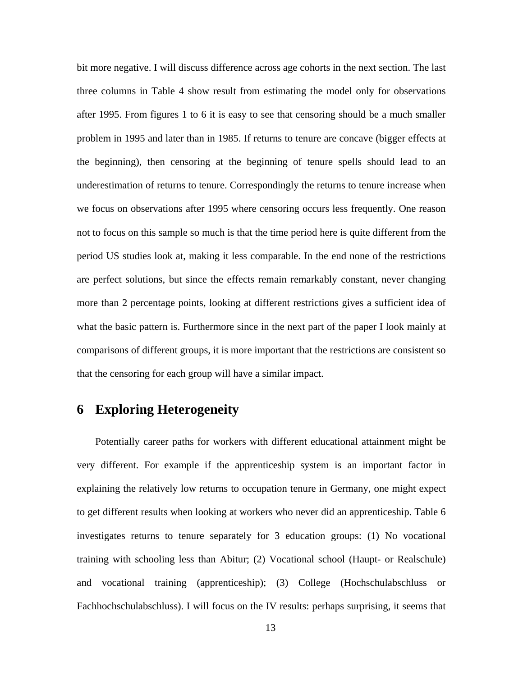bit more negative. I will discuss difference across age cohorts in the next section. The last three columns in Table 4 show result from estimating the model only for observations after 1995. From figures 1 to 6 it is easy to see that censoring should be a much smaller problem in 1995 and later than in 1985. If returns to tenure are concave (bigger effects at the beginning), then censoring at the beginning of tenure spells should lead to an underestimation of returns to tenure. Correspondingly the returns to tenure increase when we focus on observations after 1995 where censoring occurs less frequently. One reason not to focus on this sample so much is that the time period here is quite different from the period US studies look at, making it less comparable. In the end none of the restrictions are perfect solutions, but since the effects remain remarkably constant, never changing more than 2 percentage points, looking at different restrictions gives a sufficient idea of what the basic pattern is. Furthermore since in the next part of the paper I look mainly at comparisons of different groups, it is more important that the restrictions are consistent so that the censoring for each group will have a similar impact.

## **6 Exploring Heterogeneity**

Potentially career paths for workers with different educational attainment might be very different. For example if the apprenticeship system is an important factor in explaining the relatively low returns to occupation tenure in Germany, one might expect to get different results when looking at workers who never did an apprenticeship. Table 6 investigates returns to tenure separately for 3 education groups: (1) No vocational training with schooling less than Abitur; (2) Vocational school (Haupt- or Realschule) and vocational training (apprenticeship); (3) College (Hochschulabschluss or Fachhochschulabschluss). I will focus on the IV results: perhaps surprising, it seems that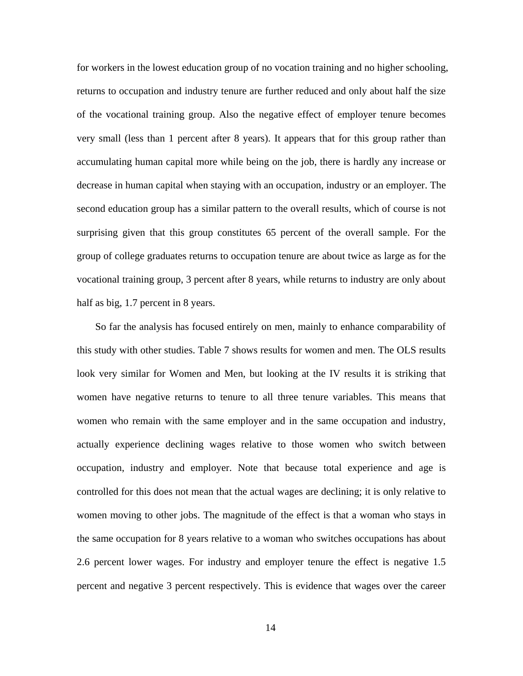for workers in the lowest education group of no vocation training and no higher schooling, returns to occupation and industry tenure are further reduced and only about half the size of the vocational training group. Also the negative effect of employer tenure becomes very small (less than 1 percent after 8 years). It appears that for this group rather than accumulating human capital more while being on the job, there is hardly any increase or decrease in human capital when staying with an occupation, industry or an employer. The second education group has a similar pattern to the overall results, which of course is not surprising given that this group constitutes 65 percent of the overall sample. For the group of college graduates returns to occupation tenure are about twice as large as for the vocational training group, 3 percent after 8 years, while returns to industry are only about half as big, 1.7 percent in 8 years.

So far the analysis has focused entirely on men, mainly to enhance comparability of this study with other studies. Table 7 shows results for women and men. The OLS results look very similar for Women and Men, but looking at the IV results it is striking that women have negative returns to tenure to all three tenure variables. This means that women who remain with the same employer and in the same occupation and industry, actually experience declining wages relative to those women who switch between occupation, industry and employer. Note that because total experience and age is controlled for this does not mean that the actual wages are declining; it is only relative to women moving to other jobs. The magnitude of the effect is that a woman who stays in the same occupation for 8 years relative to a woman who switches occupations has about 2.6 percent lower wages. For industry and employer tenure the effect is negative 1.5 percent and negative 3 percent respectively. This is evidence that wages over the career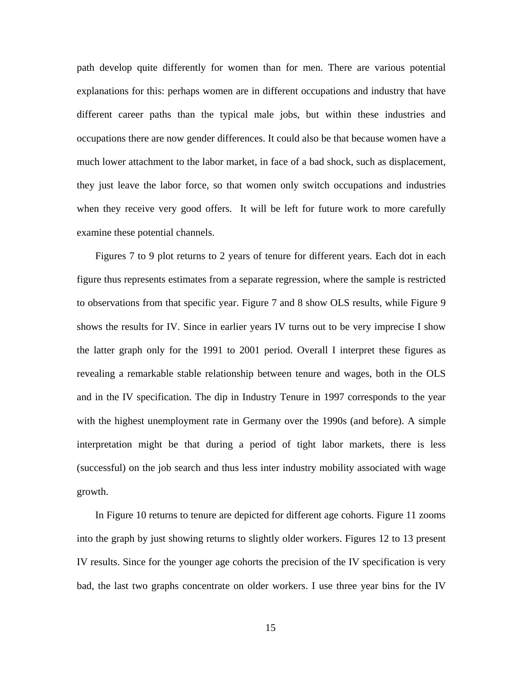path develop quite differently for women than for men. There are various potential explanations for this: perhaps women are in different occupations and industry that have different career paths than the typical male jobs, but within these industries and occupations there are now gender differences. It could also be that because women have a much lower attachment to the labor market, in face of a bad shock, such as displacement, they just leave the labor force, so that women only switch occupations and industries when they receive very good offers. It will be left for future work to more carefully examine these potential channels.

Figures 7 to 9 plot returns to 2 years of tenure for different years. Each dot in each figure thus represents estimates from a separate regression, where the sample is restricted to observations from that specific year. Figure 7 and 8 show OLS results, while Figure 9 shows the results for IV. Since in earlier years IV turns out to be very imprecise I show the latter graph only for the 1991 to 2001 period. Overall I interpret these figures as revealing a remarkable stable relationship between tenure and wages, both in the OLS and in the IV specification. The dip in Industry Tenure in 1997 corresponds to the year with the highest unemployment rate in Germany over the 1990s (and before). A simple interpretation might be that during a period of tight labor markets, there is less (successful) on the job search and thus less inter industry mobility associated with wage growth.

In Figure 10 returns to tenure are depicted for different age cohorts. Figure 11 zooms into the graph by just showing returns to slightly older workers. Figures 12 to 13 present IV results. Since for the younger age cohorts the precision of the IV specification is very bad, the last two graphs concentrate on older workers. I use three year bins for the IV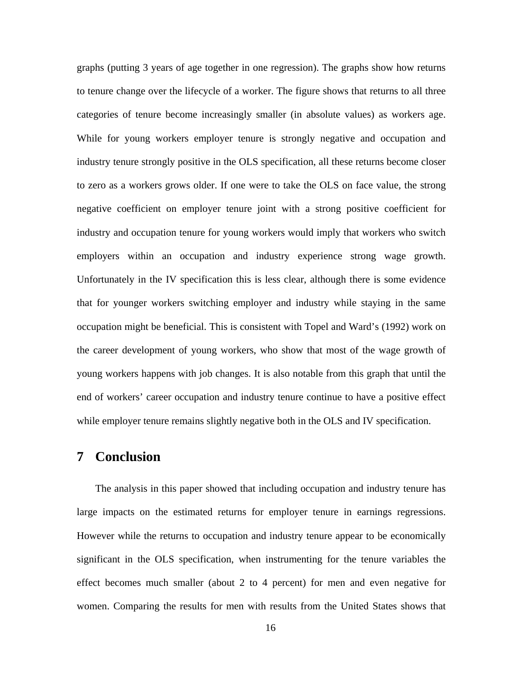graphs (putting 3 years of age together in one regression). The graphs show how returns to tenure change over the lifecycle of a worker. The figure shows that returns to all three categories of tenure become increasingly smaller (in absolute values) as workers age. While for young workers employer tenure is strongly negative and occupation and industry tenure strongly positive in the OLS specification, all these returns become closer to zero as a workers grows older. If one were to take the OLS on face value, the strong negative coefficient on employer tenure joint with a strong positive coefficient for industry and occupation tenure for young workers would imply that workers who switch employers within an occupation and industry experience strong wage growth. Unfortunately in the IV specification this is less clear, although there is some evidence that for younger workers switching employer and industry while staying in the same occupation might be beneficial. This is consistent with Topel and Ward's (1992) work on the career development of young workers, who show that most of the wage growth of young workers happens with job changes. It is also notable from this graph that until the end of workers' career occupation and industry tenure continue to have a positive effect while employer tenure remains slightly negative both in the OLS and IV specification.

## **7 Conclusion**

The analysis in this paper showed that including occupation and industry tenure has large impacts on the estimated returns for employer tenure in earnings regressions. However while the returns to occupation and industry tenure appear to be economically significant in the OLS specification, when instrumenting for the tenure variables the effect becomes much smaller (about 2 to 4 percent) for men and even negative for women. Comparing the results for men with results from the United States shows that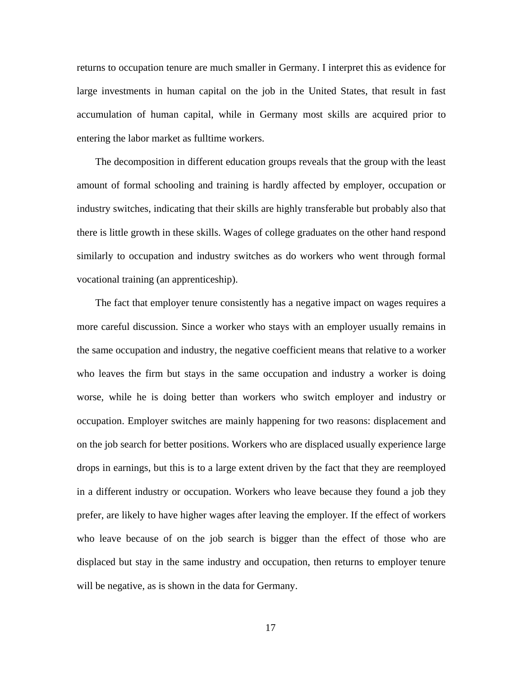returns to occupation tenure are much smaller in Germany. I interpret this as evidence for large investments in human capital on the job in the United States, that result in fast accumulation of human capital, while in Germany most skills are acquired prior to entering the labor market as fulltime workers.

The decomposition in different education groups reveals that the group with the least amount of formal schooling and training is hardly affected by employer, occupation or industry switches, indicating that their skills are highly transferable but probably also that there is little growth in these skills. Wages of college graduates on the other hand respond similarly to occupation and industry switches as do workers who went through formal vocational training (an apprenticeship).

The fact that employer tenure consistently has a negative impact on wages requires a more careful discussion. Since a worker who stays with an employer usually remains in the same occupation and industry, the negative coefficient means that relative to a worker who leaves the firm but stays in the same occupation and industry a worker is doing worse, while he is doing better than workers who switch employer and industry or occupation. Employer switches are mainly happening for two reasons: displacement and on the job search for better positions. Workers who are displaced usually experience large drops in earnings, but this is to a large extent driven by the fact that they are reemployed in a different industry or occupation. Workers who leave because they found a job they prefer, are likely to have higher wages after leaving the employer. If the effect of workers who leave because of on the job search is bigger than the effect of those who are displaced but stay in the same industry and occupation, then returns to employer tenure will be negative, as is shown in the data for Germany.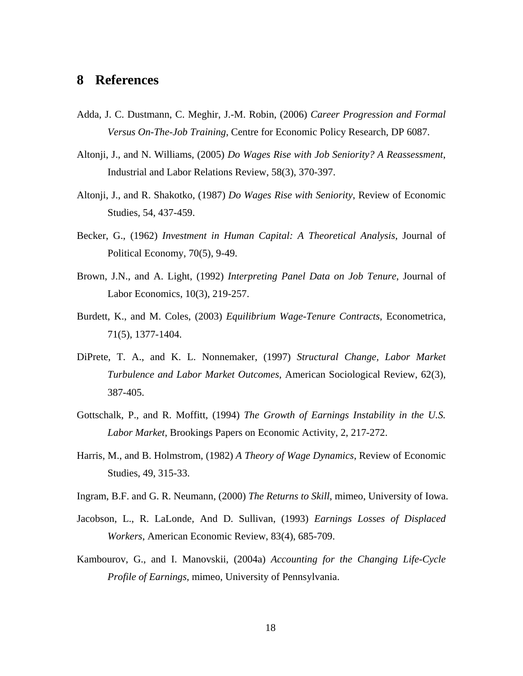### **8 References**

- Adda, J. C. Dustmann, C. Meghir, J.-M. Robin, (2006) *Career Progression and Formal Versus On-The-Job Training*, Centre for Economic Policy Research, DP 6087.
- Altonji, J., and N. Williams, (2005) *Do Wages Rise with Job Seniority? A Reassessment*, Industrial and Labor Relations Review, 58(3), 370-397.
- Altonji, J., and R. Shakotko, (1987) *Do Wages Rise with Seniority*, Review of Economic Studies, 54, 437-459.
- Becker, G., (1962) *Investment in Human Capital: A Theoretical Analysis*, Journal of Political Economy, 70(5), 9-49.
- Brown, J.N., and A. Light, (1992) *Interpreting Panel Data on Job Tenure*, Journal of Labor Economics, 10(3), 219-257.
- Burdett, K., and M. Coles, (2003) *Equilibrium Wage-Tenure Contracts*, Econometrica, 71(5), 1377-1404.
- DiPrete, T. A., and K. L. Nonnemaker, (1997) *Structural Change, Labor Market Turbulence and Labor Market Outcomes*, American Sociological Review, 62(3), 387-405.
- Gottschalk, P., and R. Moffitt, (1994) *The Growth of Earnings Instability in the U.S. Labor Market*, Brookings Papers on Economic Activity, 2, 217-272.
- Harris, M., and B. Holmstrom, (1982) *A Theory of Wage Dynamics*, Review of Economic Studies, 49, 315-33.
- Ingram, B.F. and G. R. Neumann, (2000) *The Returns to Skill*, mimeo, University of Iowa.
- Jacobson, L., R. LaLonde, And D. Sullivan, (1993) *Earnings Losses of Displaced Workers*, American Economic Review, 83(4), 685-709.
- Kambourov, G., and I. Manovskii, (2004a) *Accounting for the Changing Life-Cycle Profile of Earnings*, mimeo, University of Pennsylvania.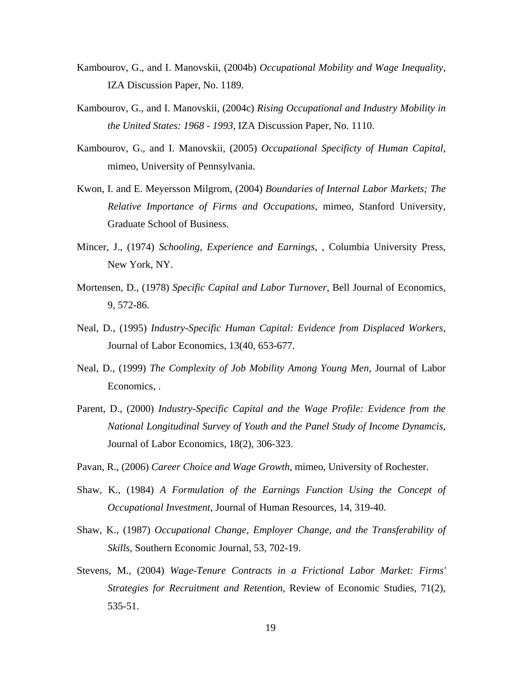- Kambourov, G., and I. Manovskii, (2004b) *Occupational Mobility and Wage Inequality*, IZA Discussion Paper, No. 1189.
- Kambourov, G., and I. Manovskii, (2004c) *Rising Occupational and Industry Mobility in the United States: 1968 - 1993*, IZA Discussion Paper, No. 1110.
- Kambourov, G., and I. Manovskii, (2005) *Occupational Specificty of Human Capital*, mimeo, University of Pennsylvania.
- Kwon, I. and E. Meyersson Milgrom, (2004) *Boundaries of Internal Labor Markets; The Relative Importance of Firms and Occupations*, mimeo, Stanford University, Graduate School of Business.
- Mincer, J., (1974) *Schooling, Experience and Earnings*, , Columbia University Press, New York, NY.
- Mortensen, D., (1978) *Specific Capital and Labor Turnover*, Bell Journal of Economics, 9, 572-86.
- Neal, D., (1995) *Industry-Specific Human Capital: Evidence from Displaced Workers*, Journal of Labor Economics, 13(40, 653-677.
- Neal, D., (1999) *The Complexity of Job Mobility Among Young Men*, Journal of Labor Economics, .
- Parent, D., (2000) *Industry-Specific Capital and the Wage Profile: Evidence from the National Longitudinal Survey of Youth and the Panel Study of Income Dynamcis*, Journal of Labor Economics, 18(2), 306-323.
- Pavan, R., (2006) *Career Choice and Wage Growth*, mimeo, University of Rochester.
- Shaw, K., (1984) *A Formulation of the Earnings Function Using the Concept of Occupational Investment*, Journal of Human Resources, 14, 319-40.
- Shaw, K., (1987) *Occupational Change, Employer Change, and the Transferability of Skills*, Southern Economic Journal, 53, 702-19.
- Stevens, M., (2004) *Wage-Tenure Contracts in a Frictional Labor Market: Firms' Strategies for Recruitment and Retention*, Review of Economic Studies, 71(2), 535-51.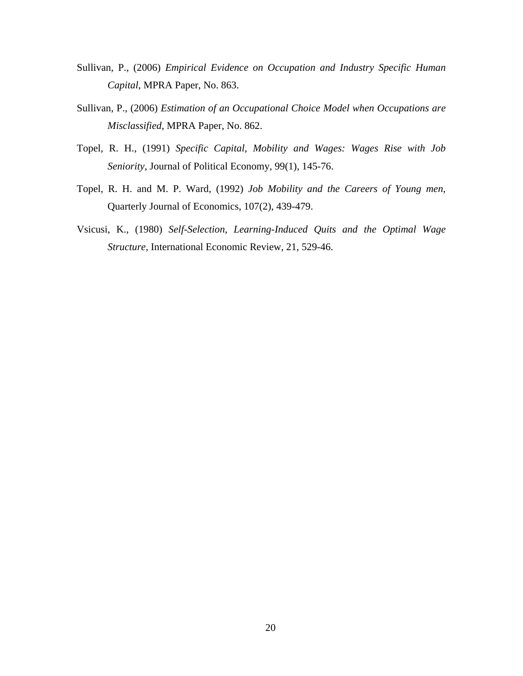- Sullivan, P., (2006) *Empirical Evidence on Occupation and Industry Specific Human Capital*, MPRA Paper, No. 863.
- Sullivan, P., (2006) *Estimation of an Occupational Choice Model when Occupations are Misclassified*, MPRA Paper, No. 862.
- Topel, R. H., (1991) *Specific Capital, Mobility and Wages: Wages Rise with Job Seniority*, Journal of Political Economy, 99(1), 145-76.
- Topel, R. H. and M. P. Ward, (1992) *Job Mobility and the Careers of Young men*, Quarterly Journal of Economics, 107(2), 439-479.
- Vsicusi, K., (1980) *Self-Selection, Learning-Induced Quits and the Optimal Wage Structure*, International Economic Review, 21, 529-46.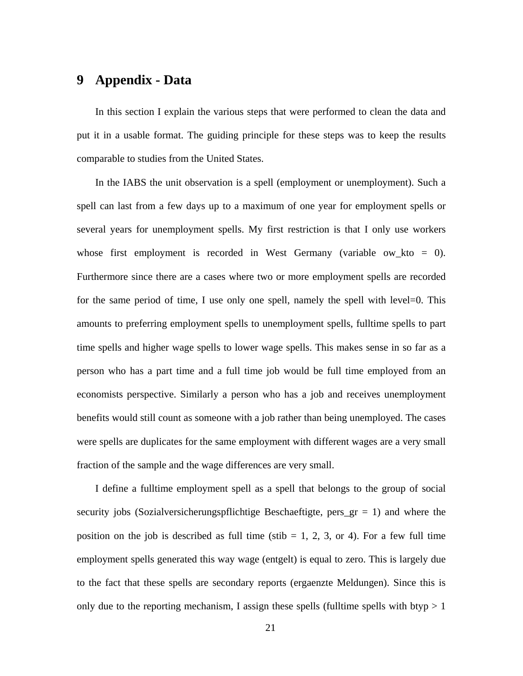## **9 Appendix - Data**

In this section I explain the various steps that were performed to clean the data and put it in a usable format. The guiding principle for these steps was to keep the results comparable to studies from the United States.

In the IABS the unit observation is a spell (employment or unemployment). Such a spell can last from a few days up to a maximum of one year for employment spells or several years for unemployment spells. My first restriction is that I only use workers whose first employment is recorded in West Germany (variable ow\_kto = 0). Furthermore since there are a cases where two or more employment spells are recorded for the same period of time, I use only one spell, namely the spell with level=0. This amounts to preferring employment spells to unemployment spells, fulltime spells to part time spells and higher wage spells to lower wage spells. This makes sense in so far as a person who has a part time and a full time job would be full time employed from an economists perspective. Similarly a person who has a job and receives unemployment benefits would still count as someone with a job rather than being unemployed. The cases were spells are duplicates for the same employment with different wages are a very small fraction of the sample and the wage differences are very small.

I define a fulltime employment spell as a spell that belongs to the group of social security jobs (Sozialversicherungspflichtige Beschaeftigte, pers  $gr = 1$ ) and where the position on the job is described as full time (stib  $= 1, 2, 3$ , or 4). For a few full time employment spells generated this way wage (entgelt) is equal to zero. This is largely due to the fact that these spells are secondary reports (ergaenzte Meldungen). Since this is only due to the reporting mechanism, I assign these spells (fulltime spells with btyp  $> 1$ )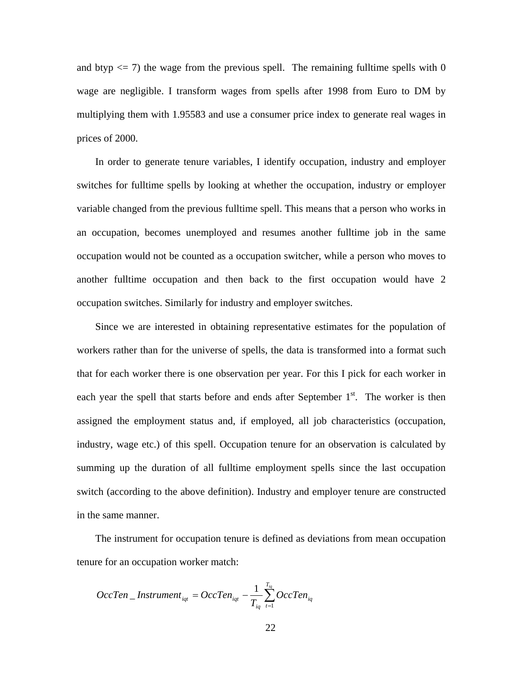and btyp  $\leq$  7) the wage from the previous spell. The remaining fulltime spells with 0 wage are negligible. I transform wages from spells after 1998 from Euro to DM by multiplying them with 1.95583 and use a consumer price index to generate real wages in prices of 2000.

In order to generate tenure variables, I identify occupation, industry and employer switches for fulltime spells by looking at whether the occupation, industry or employer variable changed from the previous fulltime spell. This means that a person who works in an occupation, becomes unemployed and resumes another fulltime job in the same occupation would not be counted as a occupation switcher, while a person who moves to another fulltime occupation and then back to the first occupation would have 2 occupation switches. Similarly for industry and employer switches.

Since we are interested in obtaining representative estimates for the population of workers rather than for the universe of spells, the data is transformed into a format such that for each worker there is one observation per year. For this I pick for each worker in each year the spell that starts before and ends after September  $1<sup>st</sup>$ . The worker is then assigned the employment status and, if employed, all job characteristics (occupation, industry, wage etc.) of this spell. Occupation tenure for an observation is calculated by summing up the duration of all fulltime employment spells since the last occupation switch (according to the above definition). Industry and employer tenure are constructed in the same manner.

The instrument for occupation tenure is defined as deviations from mean occupation tenure for an occupation worker match:

$$
OccTen\_Instrument_{iqt} = OccTen_{iqt} - \frac{1}{T_{iq}} \sum_{t=1}^{T_{iq}} OccTen_{iqt}
$$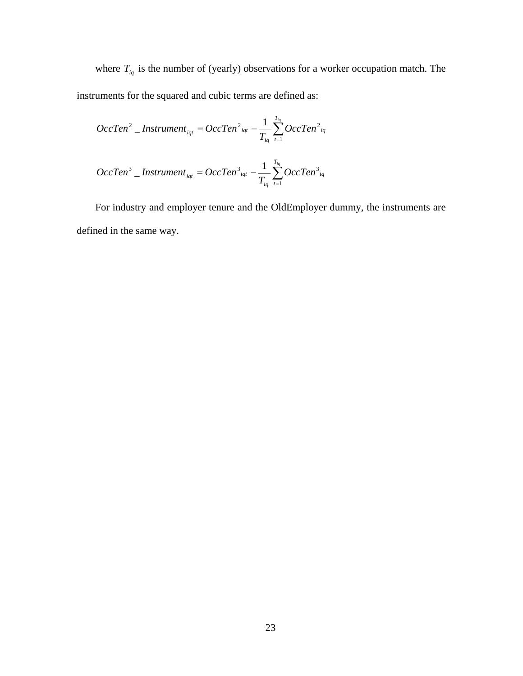where  $T_{iq}$  is the number of (yearly) observations for a worker occupation match. The instruments for the squared and cubic terms are defined as:

$$
OccTen^{2} _{}
$$
 *Instrument*<sub>*iqt*</sub> = OccTen<sup>2</sup><sub>*iqt*</sub> -  $\frac{1}{T_{iq}} \sum_{t=1}^{T_{iq}} OccTen^{2}_{iq}$   
\n
$$
OccTen^{3} _{}
$$
 *Instrument*<sub>*iqt*</sub> = OccTen<sup>3</sup><sub>*iqt*</sub> -  $\frac{1}{T_{iq}} \sum_{t=1}^{T_{iq}} OccTen^{3}_{iq}$ 

For industry and employer tenure and the OldEmployer dummy, the instruments are defined in the same way.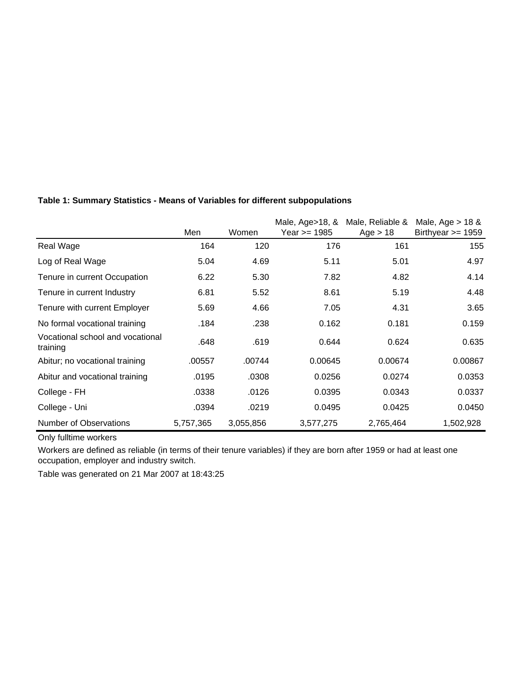|                                              |           |           | Male, Age>18, & | Male, Reliable & | Male, Age $>$ 18 &  |
|----------------------------------------------|-----------|-----------|-----------------|------------------|---------------------|
|                                              | Men       | Women     | Year >= 1985    | Age $> 18$       | Birthyear $>= 1959$ |
| Real Wage                                    | 164       | 120       | 176             | 161              | 155                 |
| Log of Real Wage                             | 5.04      | 4.69      | 5.11            | 5.01             | 4.97                |
| Tenure in current Occupation                 | 6.22      | 5.30      | 7.82            | 4.82             | 4.14                |
| Tenure in current Industry                   | 6.81      | 5.52      | 8.61            | 5.19             | 4.48                |
| Tenure with current Employer                 | 5.69      | 4.66      | 7.05            | 4.31             | 3.65                |
| No formal vocational training                | .184      | .238      | 0.162           | 0.181            | 0.159               |
| Vocational school and vocational<br>training | .648      | .619      | 0.644           | 0.624            | 0.635               |
| Abitur; no vocational training               | .00557    | .00744    | 0.00645         | 0.00674          | 0.00867             |
| Abitur and vocational training               | .0195     | .0308     | 0.0256          | 0.0274           | 0.0353              |
| College - FH                                 | .0338     | .0126     | 0.0395          | 0.0343           | 0.0337              |
| College - Uni                                | .0394     | .0219     | 0.0495          | 0.0425           | 0.0450              |
| <b>Number of Observations</b>                | 5,757,365 | 3,055,856 | 3,577,275       | 2,765,464        | 1,502,928           |

#### **Table 1: Summary Statistics - Means of Variables for different subpopulations**

Only fulltime workers

Workers are defined as reliable (in terms of their tenure variables) if they are born after 1959 or had at least one occupation, employer and industry switch.

Table was generated on 21 Mar 2007 at 18:43:25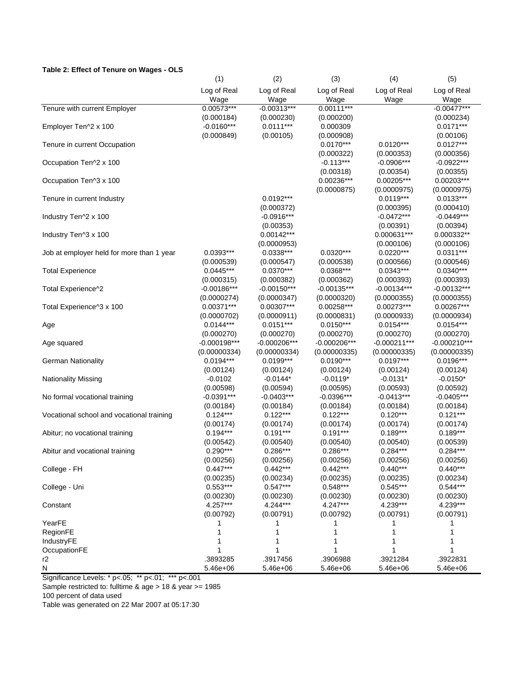#### **Table 2: Effect of Tenure on Wages - OLS**

|                                           | (1)                         | (2)                         | (3)                         | (4)                         | (5)                         |
|-------------------------------------------|-----------------------------|-----------------------------|-----------------------------|-----------------------------|-----------------------------|
|                                           | Log of Real                 | Log of Real                 | Log of Real                 | Log of Real                 | Log of Real                 |
|                                           | Wage                        | Wage                        | Wage                        | Wage                        | Wage                        |
| Tenure with current Employer              | $0.00573***$                | $-0.00313***$               | $0.00111***$                |                             | $-0.00477***$               |
|                                           | (0.000184)                  | (0.000230)                  | (0.000200)                  |                             | (0.000234)                  |
| Employer Ten^2 x 100                      | $-0.0160***$                | $0.0111***$                 | 0.000309                    |                             | $0.0171***$                 |
|                                           | (0.000849)                  | (0.00105)                   | (0.000908)                  |                             | (0.00106)                   |
| Tenure in current Occupation              |                             |                             | $0.0170***$                 | $0.0120***$                 | $0.0127***$                 |
|                                           |                             |                             | (0.000322)                  | (0.000353)                  | (0.000356)                  |
| Occupation Ten^2 x 100                    |                             |                             | $-0.113***$                 | $-0.0906***$                | $-0.0922***$                |
|                                           |                             |                             | (0.00318)                   | (0.00354)                   | (0.00355)                   |
| Occupation Ten^3 x 100                    |                             |                             | $0.00236***$                | 0.00205***                  | $0.00203***$                |
|                                           |                             |                             | (0.0000875)                 | (0.0000975)                 | (0.0000975)                 |
| Tenure in current Industry                |                             | $0.0192***$                 |                             | $0.0119***$                 | $0.0133***$                 |
|                                           |                             | (0.000372)                  |                             | (0.000395)                  | (0.000410)                  |
| Industry Ten^2 x 100                      |                             | $-0.0916***$                |                             | $-0.0472***$                | $-0.0449***$                |
|                                           |                             | (0.00353)                   |                             | (0.00391)                   | (0.00394)                   |
| Industry Ten^3 x 100                      |                             | $0.00142***$                |                             | 0.000631***                 | 0.000332**                  |
|                                           |                             | (0.0000953)                 |                             | (0.000106)                  | (0.000106)                  |
| Job at employer held for more than 1 year | $0.0393***$                 | $0.0338***$                 | $0.0320***$                 | $0.0220***$                 | $0.0311***$                 |
|                                           | (0.000539)                  | (0.000547)                  | (0.000538)                  | (0.000566)                  | (0.000546)                  |
| <b>Total Experience</b>                   | $0.0445***$                 | $0.0370***$                 | $0.0368***$                 | $0.0343***$                 | $0.0340***$                 |
|                                           | (0.000315)                  | (0.000382)                  | (0.000362)                  | (0.000393)                  | (0.000393)                  |
| Total Experience^2                        | $-0.00186***$               | $-0.00150***$               | $-0.00135***$               | $-0.00134***$               | $-0.00132***$               |
|                                           | (0.0000274)                 | (0.0000347)                 | (0.0000320)                 | (0.0000355)                 | (0.0000355)                 |
| Total Experience^3 x 100                  | $0.00371***$                | $0.00307***$                | $0.00258***$                | $0.00273***$                | $0.00267***$                |
|                                           | (0.0000702)                 | (0.0000911)                 | (0.0000831)                 | (0.0000933)                 | (0.0000934)                 |
| Age                                       | $0.0144***$                 | $0.0151***$                 | $0.0150***$                 | $0.0154***$                 | $0.0154***$                 |
|                                           | (0.000270)                  | (0.000270)                  | (0.000270)                  | (0.000270)                  | (0.000270)                  |
| Age squared                               | $-0.000198***$              | $-0.000206***$              | $-0.000206***$              | $-0.000211***$              | $-0.000210***$              |
|                                           | (0.00000334)<br>$0.0194***$ | (0.00000334)<br>$0.0199***$ | (0.00000335)<br>$0.0190***$ | (0.00000335)<br>$0.0197***$ | (0.00000335)<br>$0.0196***$ |
| <b>German Nationality</b>                 | (0.00124)                   | (0.00124)                   | (0.00124)                   | (0.00124)                   | (0.00124)                   |
| <b>Nationality Missing</b>                | $-0.0102$                   | $-0.0144*$                  | $-0.0119*$                  | $-0.0131*$                  | $-0.0150*$                  |
|                                           | (0.00598)                   | (0.00594)                   | (0.00595)                   | (0.00593)                   | (0.00592)                   |
| No formal vocational training             | $-0.0391***$                | $-0.0403***$                | $-0.0396***$                | $-0.0413***$                | $-0.0405***$                |
|                                           | (0.00184)                   | (0.00184)                   | (0.00184)                   | (0.00184)                   | (0.00184)                   |
| Vocational school and vocational training | $0.124***$                  | $0.122***$                  | $0.122***$                  | $0.120***$                  | $0.121***$                  |
|                                           | (0.00174)                   | (0.00174)                   | (0.00174)                   | (0.00174)                   | (0.00174)                   |
| Abitur; no vocational training            | $0.194***$                  | $0.191***$                  | $0.191***$                  | $0.189***$                  | $0.189***$                  |
|                                           | (0.00542)                   | (0.00540)                   | (0.00540)                   | (0.00540)                   | (0.00539)                   |
| Abitur and vocational training            | $0.290***$                  | $0.286***$                  | $0.286***$                  | $0.284***$                  | $0.284***$                  |
|                                           | (0.00256)                   | (0.00256)                   | (0.00256)                   | (0.00256)                   | (0.00256)                   |
| College - FH                              | $0.447***$                  | $0.442***$                  | $0.442***$                  | $0.440***$                  | $0.440***$                  |
|                                           | (0.00235)                   | (0.00234)                   | (0.00235)                   | (0.00235)                   | (0.00234)                   |
| College - Uni                             | $0.553***$                  | $0.547***$                  | $0.548***$                  | $0.545***$                  | $0.544***$                  |
|                                           | (0.00230)                   | (0.00230)                   | (0.00230)                   | (0.00230)                   | (0.00230)                   |
| Constant                                  | 4.257***                    | 4.244***                    | 4.247***                    | 4.239***                    | 4.239***                    |
|                                           | (0.00792)                   | (0.00791)                   | (0.00792)                   | (0.00791)                   | (0.00791)                   |
| YearFE                                    |                             |                             |                             |                             |                             |
| RegionFE                                  |                             |                             |                             |                             |                             |
| IndustryFE                                |                             |                             |                             |                             |                             |
| OccupationFE                              |                             |                             |                             |                             |                             |
| r2                                        | .3893285                    | .3917456                    | .3906988                    | .3921284                    | .3922831                    |
| N                                         | 5.46e+06                    | 5.46e+06                    | 5.46e+06                    | 5.46e+06                    | 5.46e+06                    |

Significance Levels: \* p<.05; \*\* p<.01; \*\*\* p<.001

Sample restricted to: fulltime & age > 18 & year >= 1985

100 percent of data used

Table was generated on 22 Mar 2007 at 05:17:30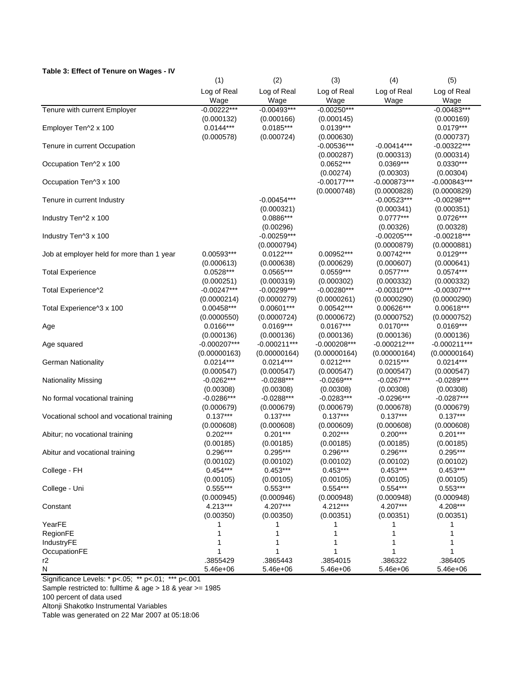#### **Table 3: Effect of Tenure on Wages - IV**

|                                           | (1)            | (2)            | (3)            | (4)            | (5)            |
|-------------------------------------------|----------------|----------------|----------------|----------------|----------------|
|                                           | Log of Real    | Log of Real    | Log of Real    | Log of Real    | Log of Real    |
|                                           | Wage           | Wage           | Wage           | Wage           | Wage           |
| Tenure with current Employer              | $-0.00222***$  | $-0.00493***$  | $-0.00250***$  |                | $-0.00483***$  |
|                                           | (0.000132)     | (0.000166)     | (0.000145)     |                | (0.000169)     |
| Employer Ten^2 x 100                      | $0.0144***$    | $0.0185***$    | $0.0139***$    |                | $0.0179***$    |
|                                           | (0.000578)     | (0.000724)     | (0.000630)     |                | (0.000737)     |
| Tenure in current Occupation              |                |                | $-0.00536***$  | $-0.00414***$  | $-0.00322***$  |
|                                           |                |                | (0.000287)     | (0.000313)     | (0.000314)     |
| Occupation Ten^2 x 100                    |                |                | $0.0652***$    | $0.0369***$    | $0.0330***$    |
|                                           |                |                | (0.00274)      | (0.00303)      | (0.00304)      |
| Occupation Ten^3 x 100                    |                |                | $-0.00177***$  | $-0.000873***$ | $-0.000843***$ |
|                                           |                |                | (0.0000748)    | (0.0000828)    | (0.0000829)    |
| Tenure in current Industry                |                | $-0.00454***$  |                | $-0.00523***$  | $-0.00298***$  |
|                                           |                | (0.000321)     |                | (0.000341)     | (0.000351)     |
| Industry Ten^2 x 100                      |                | 0.0886***      |                | $0.0777***$    | $0.0726***$    |
|                                           |                | (0.00296)      |                | (0.00326)      | (0.00328)      |
| Industry Ten^3 x 100                      |                | $-0.00259***$  |                | $-0.00205***$  | $-0.00218***$  |
|                                           |                | (0.0000794)    |                | (0.0000879)    | (0.0000881)    |
| Job at employer held for more than 1 year | 0.00593***     | $0.0122***$    | 0.00952***     | $0.00742***$   | $0.0129***$    |
|                                           | (0.000613)     | (0.000638)     | (0.000629)     | (0.000607)     | (0.000641)     |
| <b>Total Experience</b>                   | $0.0528***$    | $0.0565***$    | $0.0559***$    | $0.0577***$    | $0.0574***$    |
|                                           | (0.000251)     | (0.000319)     | (0.000302)     | (0.000332)     | (0.000332)     |
| Total Experience^2                        | $-0.00247***$  | $-0.00299***$  | $-0.00280***$  | $-0.00310***$  | $-0.00307***$  |
|                                           | (0.0000214)    | (0.0000279)    | (0.0000261)    | (0.0000290)    | (0.0000290)    |
| Total Experience^3 x 100                  | 0.00458***     | $0.00601***$   | 0.00542***     | 0.00626***     | 0.00618***     |
|                                           | (0.0000550)    | (0.0000724)    | (0.0000672)    | (0.0000752)    | (0.0000752)    |
| Age                                       | $0.0166***$    | $0.0169***$    | $0.0167***$    | $0.0170***$    | $0.0169***$    |
|                                           | (0.000136)     | (0.000136)     | (0.000136)     | (0.000136)     | (0.000136)     |
| Age squared                               | $-0.000207***$ | $-0.000211***$ | $-0.000208***$ | $-0.000212***$ | $-0.000211***$ |
|                                           | (0.00000163)   | (0.00000164)   | (0.00000164)   | (0.00000164)   | (0.00000164)   |
| <b>German Nationality</b>                 | $0.0214***$    | $0.0214***$    | $0.0212***$    | $0.0215***$    | $0.0214***$    |
|                                           | (0.000547)     | (0.000547)     | (0.000547)     | (0.000547)     | (0.000547)     |
| <b>Nationality Missing</b>                | $-0.0262***$   | $-0.0288***$   | $-0.0269***$   | $-0.0267***$   | $-0.0289***$   |
|                                           | (0.00308)      | (0.00308)      | (0.00308)      | (0.00308)      | (0.00308)      |
| No formal vocational training             | $-0.0286***$   | $-0.0288***$   | $-0.0283***$   | $-0.0296***$   | $-0.0287***$   |
|                                           | (0.000679)     | (0.000679)     | (0.000679)     | (0.000678)     | (0.000679)     |
| Vocational school and vocational training | $0.137***$     | $0.137***$     | $0.137***$     | $0.137***$     | $0.137***$     |
|                                           | (0.000608)     | (0.000608)     | (0.000609)     | (0.000608)     | (0.000608)     |
| Abitur; no vocational training            | $0.202***$     | $0.201***$     | $0.202***$     | $0.200***$     | $0.201***$     |
|                                           | (0.00185)      | (0.00185)      | (0.00185)      | (0.00185)      | (0.00185)      |
| Abitur and vocational training            | $0.296***$     | $0.295***$     | $0.296***$     | $0.296***$     | $0.295***$     |
|                                           | (0.00102)      | (0.00102)      | (0.00102)      | (0.00102)      | (0.00102)      |
| College - FH                              | $0.454***$     | $0.453***$     | $0.453***$     | $0.453***$     | $0.453***$     |
|                                           | (0.00105)      | (0.00105)      | (0.00105)      | (0.00105)      | (0.00105)      |
| College - Uni                             | $0.555***$     | $0.553***$     | $0.554***$     | $0.554***$     | $0.553***$     |
|                                           | (0.000945)     | (0.000946)     | (0.000948)     | (0.000948)     | (0.000948)     |
| Constant                                  | 4.213***       | 4.207***       | 4.212***       | 4.207***       | 4.208***       |
|                                           | (0.00350)      | (0.00350)      | (0.00351)      | (0.00351)      | (0.00351)      |
| YearFE                                    |                |                |                |                |                |
| RegionFE                                  |                |                |                |                |                |
| IndustryFE                                |                |                |                |                |                |
| OccupationFE                              |                |                |                |                |                |
| r2                                        | .3855429       | .3865443       | .3854015       | .386322        | .386405        |
| N                                         | 5.46e+06       | 5.46e+06       | 5.46e+06       | 5.46e+06       | 5.46e+06       |

Significance Levels: \* p<.05; \*\* p<.01; \*\*\* p<.001

Sample restricted to: fulltime & age > 18 & year >= 1985

100 percent of data used

Altonji Shakotko Instrumental Variables

Table was generated on 22 Mar 2007 at 05:18:06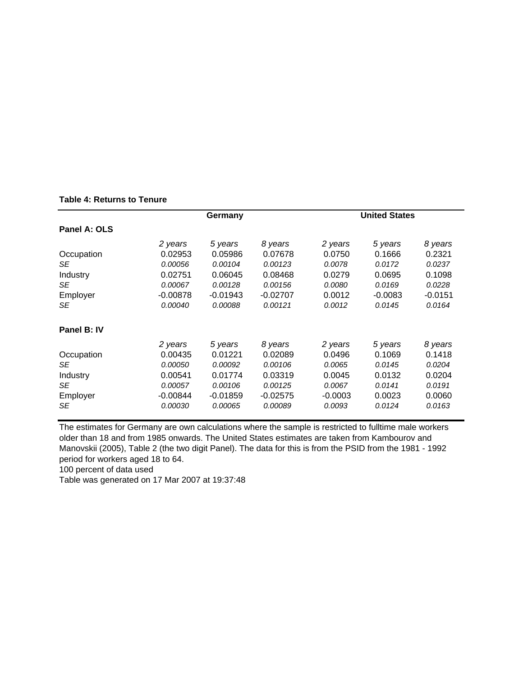|              |            | Germany    |            | <b>United States</b> |           |           |  |  |
|--------------|------------|------------|------------|----------------------|-----------|-----------|--|--|
| Panel A: OLS |            |            |            |                      |           |           |  |  |
|              | 2 years    | 5 years    | 8 years    | 2 years              | 5 years   | 8 years   |  |  |
| Occupation   | 0.02953    | 0.05986    | 0.07678    | 0.0750               | 0.1666    | 0.2321    |  |  |
| SE           | 0.00056    | 0.00104    | 0.00123    | 0.0078               | 0.0172    | 0.0237    |  |  |
| Industry     | 0.02751    | 0.06045    | 0.08468    | 0.0279               | 0.0695    | 0.1098    |  |  |
| SE           | 0.00067    | 0.00128    | 0.00156    | 0.0080               | 0.0169    | 0.0228    |  |  |
| Employer     | $-0.00878$ | $-0.01943$ | $-0.02707$ | 0.0012               | $-0.0083$ | $-0.0151$ |  |  |
| SE           | 0.00040    | 0.00088    | 0.00121    | 0.0012               | 0.0145    | 0.0164    |  |  |
| Panel B: IV  |            |            |            |                      |           |           |  |  |
|              | 2 years    | 5 years    | 8 years    | 2 years              | 5 years   | 8 years   |  |  |
| Occupation   | 0.00435    | 0.01221    | 0.02089    | 0.0496               | 0.1069    | 0.1418    |  |  |
| SE           | 0.00050    | 0.00092    | 0.00106    | 0.0065               | 0.0145    | 0.0204    |  |  |
| Industry     | 0.00541    | 0.01774    | 0.03319    | 0.0045               | 0.0132    | 0.0204    |  |  |
| SE           | 0.00057    | 0.00106    | 0.00125    | 0.0067               | 0.0141    | 0.0191    |  |  |
| Employer     | $-0.00844$ | $-0.01859$ | $-0.02575$ | $-0.0003$            | 0.0023    | 0.0060    |  |  |
| SE           | 0.00030    | 0.00065    | 0.00089    | 0.0093               | 0.0124    | 0.0163    |  |  |

The estimates for Germany are own calculations where the sample is restricted to fulltime male workers older than 18 and from 1985 onwards. The United States estimates are taken from Kambourov and Manovskii (2005), Table 2 (the two digit Panel). The data for this is from the PSID from the 1981 - 1992 period for workers aged 18 to 64.

100 percent of data used

Table was generated on 17 Mar 2007 at 19:37:48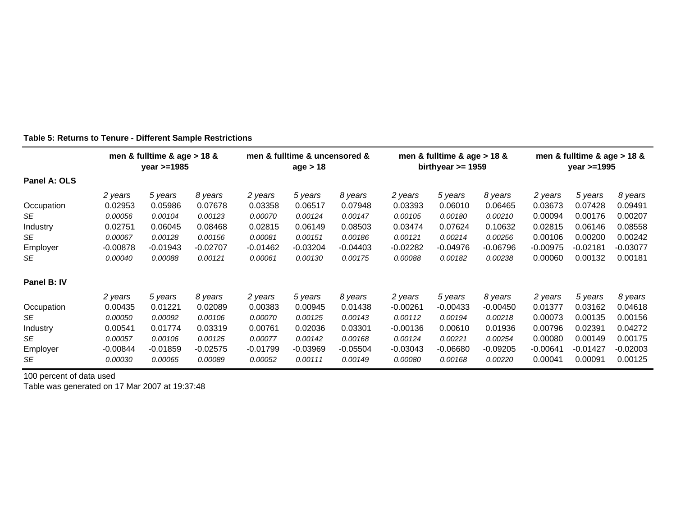|              |                | men & fulltime & age $> 18$ &<br>$year > = 1985$ |            | men & fulltime & uncensored &<br>age > 18 |            | men & fulltime & age $> 18$ &<br>birthyear $>= 1959$ |            |            | men & fulltime & age $> 18$ &<br>year $>=1995$ |            |            |          |
|--------------|----------------|--------------------------------------------------|------------|-------------------------------------------|------------|------------------------------------------------------|------------|------------|------------------------------------------------|------------|------------|----------|
| Panel A: OLS |                |                                                  |            |                                           |            |                                                      |            |            |                                                |            |            |          |
|              | 2 years        | 5 years                                          | 8 years    | 2 years                                   | 5 years    | 8 years                                              | 2 years    | 5 years    | 8 years                                        | 2 years    | 5 years    | 8 years  |
| Occupation   | 0.02953        | 0.05986                                          | 0.07678    | 0.03358                                   | 0.06517    | 0.07948                                              | 0.03393    | 0.06010    | 0.06465                                        | 0.03673    | 0.07428    | 0.09491  |
| SE           | 0.00056        | 0.00104                                          | 0.00123    | 0.00070                                   | 0.00124    | 0.00147                                              | 0.00105    | 0.00180    | 0.00210                                        | 0.00094    | 0.00176    | 0.00207  |
| Industry     | 0.02751        | 0.06045                                          | 0.08468    | 0.02815                                   | 0.06149    | 0.08503                                              | 0.03474    | 0.07624    | 0.10632                                        | 0.02815    | 0.06146    | 0.08558  |
| SE           | 0.00067        | 0.00128                                          | 0.00156    | 0.00081                                   | 0.00151    | 0.00186                                              | 0.00121    | 0.00214    | 0.00256                                        | 0.00106    | 0.00200    | 0.00242  |
| Employer     | $-0.00878$     | $-0.01943$                                       | $-0.02707$ | $-0.01462$                                | $-0.03204$ | $-0.04403$                                           | $-0.02282$ | $-0.04976$ | $-0.06796$                                     | $-0.00975$ | $-0.02181$ | -0.03077 |
| <b>SE</b>    | 0.00040        | 0.00088                                          | 0.00121    | 0.00061                                   | 0.00130    | 0.00175                                              | 0.00088    | 0.00182    | 0.00238                                        | 0.00060    | 0.00132    | 0.00181  |
| Panel B: IV  |                |                                                  |            |                                           |            |                                                      |            |            |                                                |            |            |          |
|              | 2 years        | 5 years                                          | 8 years    | 2 years                                   | 5 years    | 8 years                                              | 2 years    | 5 years    | 8 years                                        | 2 years    | 5 years    | 8 years  |
| Occupation   | 0.00435        | 0.01221                                          | 0.02089    | 0.00383                                   | 0.00945    | 0.01438                                              | $-0.00261$ | $-0.00433$ | $-0.00450$                                     | 0.01377    | 0.03162    | 0.04618  |
| SE           | <i>0.00050</i> | 0.00092                                          | 0.00106    | 0.00070                                   | 0.00125    | 0.00143                                              | 0.00112    | 0.00194    | 0.00218                                        | 0.00073    | 0.00135    | 0.00156  |
| Industry     | 0.00541        | 0.01774                                          | 0.03319    | 0.00761                                   | 0.02036    | 0.03301                                              | $-0.00136$ | 0.00610    | 0.01936                                        | 0.00796    | 0.02391    | 0.04272  |
| SE           | 0.00057        | 0.00106                                          | 0.00125    | 0.00077                                   | 0.00142    | 0.00168                                              | 0.00124    | 0.00221    | 0.00254                                        | 0.00080    | 0.00149    | 0.00175  |
| Employer     | $-0.00844$     | $-0.01859$                                       | $-0.02575$ | $-0.01799$                                | $-0.03969$ | $-0.05504$                                           | $-0.03043$ | $-0.06680$ | $-0.09205$                                     | $-0.00641$ | -0.01427   | -0.02003 |
| <b>SE</b>    | 0.00030        | 0.00065                                          | 0.00089    | 0.00052                                   | 0.00111    | 0.00149                                              | 0.00080    | 0.00168    | 0.00220                                        | 0.00041    | 0.00091    | 0.00125  |

#### **Table 5: Returns to Tenure - Different Sample Restrictions**

100 percent of data used

Table was generated on 17 Mar 2007 at 19:37:48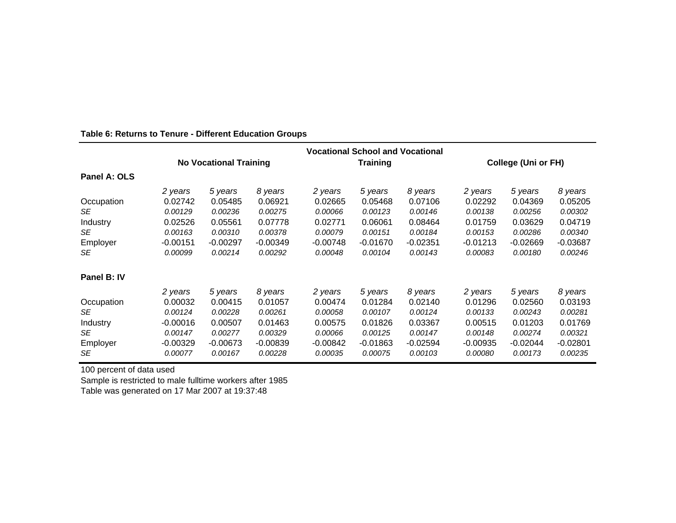|              | <b>Vocational School and Vocational</b> |            |            |                 |            |            |                            |            |            |
|--------------|-----------------------------------------|------------|------------|-----------------|------------|------------|----------------------------|------------|------------|
|              | <b>No Vocational Training</b>           |            |            | <b>Training</b> |            |            | <b>College (Uni or FH)</b> |            |            |
| Panel A: OLS |                                         |            |            |                 |            |            |                            |            |            |
|              | 2 years                                 | 5 years    | 8 years    | 2 years         | 5 years    | 8 years    | 2 years                    | 5 years    | 8 years    |
| Occupation   | 0.02742                                 | 0.05485    | 0.06921    | 0.02665         | 0.05468    | 0.07106    | 0.02292                    | 0.04369    | 0.05205    |
| SE           | 0.00129                                 | 0.00236    | 0.00275    | 0.00066         | 0.00123    | 0.00146    | 0.00138                    | 0.00256    | 0.00302    |
| Industry     | 0.02526                                 | 0.05561    | 0.07778    | 0.02771         | 0.06061    | 0.08464    | 0.01759                    | 0.03629    | 0.04719    |
| SE           | 0.00163                                 | 0.00310    | 0.00378    | 0.00079         | 0.00151    | 0.00184    | 0.00153                    | 0.00286    | 0.00340    |
| Employer     | $-0.00151$                              | $-0.00297$ | $-0.00349$ | $-0.00748$      | $-0.01670$ | $-0.02351$ | -0.01213                   | -0.02669   | $-0.03687$ |
| SE.          | 0.00099                                 | 0.00214    | 0.00292    | 0.00048         | 0.00104    | 0.00143    | 0.00083                    | 0.00180    | 0.00246    |
| Panel B: IV  |                                         |            |            |                 |            |            |                            |            |            |
|              | 2 years                                 | 5 years    | 8 years    | 2 years         | 5 years    | 8 years    | 2 years                    | 5 years    | 8 years    |
| Occupation   | 0.00032                                 | 0.00415    | 0.01057    | 0.00474         | 0.01284    | 0.02140    | 0.01296                    | 0.02560    | 0.03193    |
| SE           | 0.00124                                 | 0.00228    | 0.00261    | 0.00058         | 0.00107    | 0.00124    | 0.00133                    | 0.00243    | 0.00281    |
| Industry     | $-0.00016$                              | 0.00507    | 0.01463    | 0.00575         | 0.01826    | 0.03367    | 0.00515                    | 0.01203    | 0.01769    |
| SE           | 0.00147                                 | 0.00277    | 0.00329    | 0.00066         | 0.00125    | 0.00147    | 0.00148                    | 0.00274    | 0.00321    |
| Employer     | $-0.00329$                              | $-0.00673$ | $-0.00839$ | $-0.00842$      | $-0.01863$ | $-0.02594$ | -0.00935                   | $-0.02044$ | $-0.02801$ |
| SE           | 0.00077                                 | 0.00167    | 0.00228    | 0.00035         | 0.00075    | 0.00103    | 0.00080                    | 0.00173    | 0.00235    |

#### **Table 6: Returns to Tenure - Different Education Groups**

100 percent of data used

Sample is restricted to male fulltime workers after 1985 Table was generated on 17 Mar 2007 at 19:37:48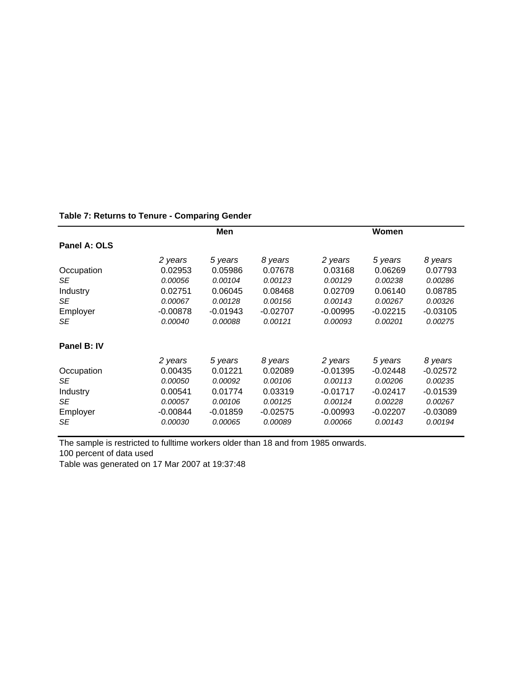|  |  |  |  | Table 7: Returns to Tenure - Comparing Gender |  |  |
|--|--|--|--|-----------------------------------------------|--|--|
|--|--|--|--|-----------------------------------------------|--|--|

|              | Men        |            |            |            | Women      |            |  |  |  |
|--------------|------------|------------|------------|------------|------------|------------|--|--|--|
| Panel A: OLS |            |            |            |            |            |            |  |  |  |
|              | 2 years    | 5 years    | 8 years    | 2 years    | 5 years    | 8 years    |  |  |  |
| Occupation   | 0.02953    | 0.05986    | 0.07678    | 0.03168    | 0.06269    | 0.07793    |  |  |  |
| SE           | 0.00056    | 0.00104    | 0.00123    | 0.00129    | 0.00238    | 0.00286    |  |  |  |
| Industry     | 0.02751    | 0.06045    | 0.08468    | 0.02709    | 0.06140    | 0.08785    |  |  |  |
| SE           | 0.00067    | 0.00128    | 0.00156    | 0.00143    | 0.00267    | 0.00326    |  |  |  |
| Employer     | $-0.00878$ | $-0.01943$ | $-0.02707$ | $-0.00995$ | $-0.02215$ | $-0.03105$ |  |  |  |
| SE           | 0.00040    | 0.00088    | 0.00121    | 0.00093    | 0.00201    | 0.00275    |  |  |  |
| Panel B: IV  |            |            |            |            |            |            |  |  |  |
|              | 2 years    | 5 years    | 8 years    | 2 years    | 5 years    | 8 years    |  |  |  |
| Occupation   | 0.00435    | 0.01221    | 0.02089    | $-0.01395$ | $-0.02448$ | $-0.02572$ |  |  |  |
| SE           | 0.00050    | 0.00092    | 0.00106    | 0.00113    | 0.00206    | 0.00235    |  |  |  |
| Industry     | 0.00541    | 0.01774    | 0.03319    | $-0.01717$ | $-0.02417$ | $-0.01539$ |  |  |  |
| SE           | 0.00057    | 0.00106    | 0.00125    | 0.00124    | 0.00228    | 0.00267    |  |  |  |
| Employer     | $-0.00844$ | $-0.01859$ | $-0.02575$ | $-0.00993$ | $-0.02207$ | $-0.03089$ |  |  |  |
| SE           | 0.00030    | 0.00065    | 0.00089    | 0.00066    | 0.00143    | 0.00194    |  |  |  |

The sample is restricted to fulltime workers older than 18 and from 1985 onwards.

100 percent of data used

Table was generated on 17 Mar 2007 at 19:37:48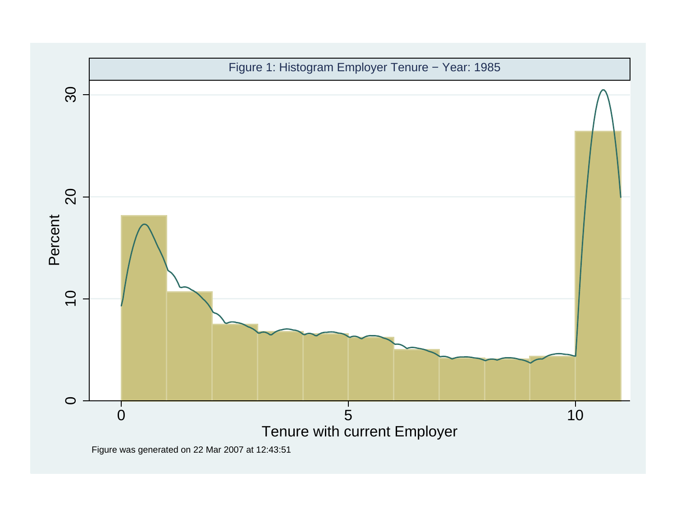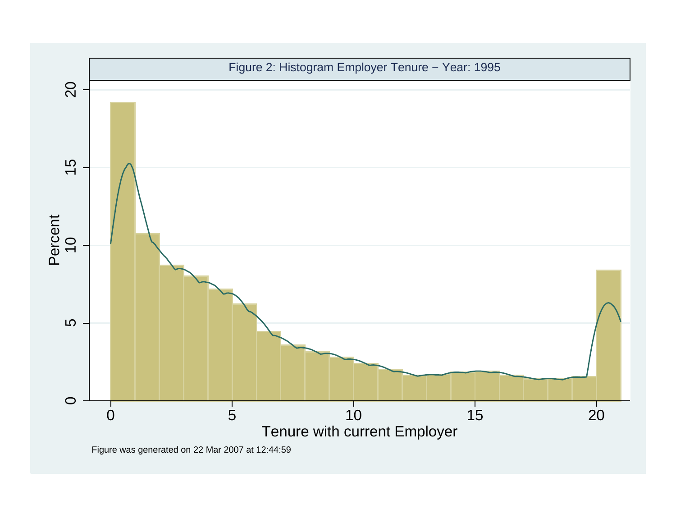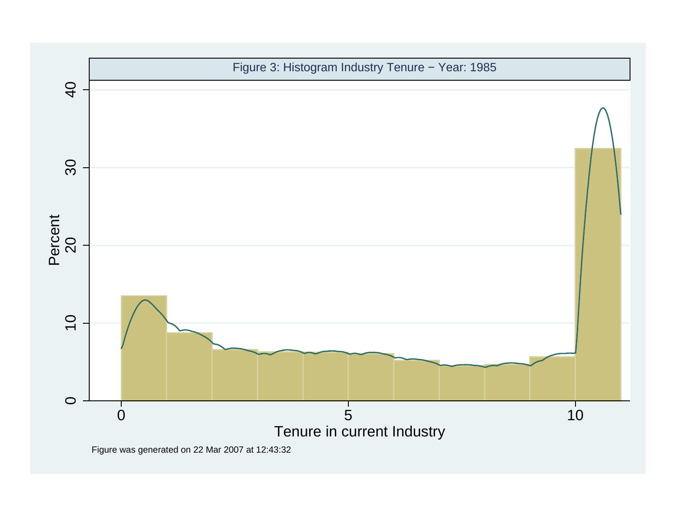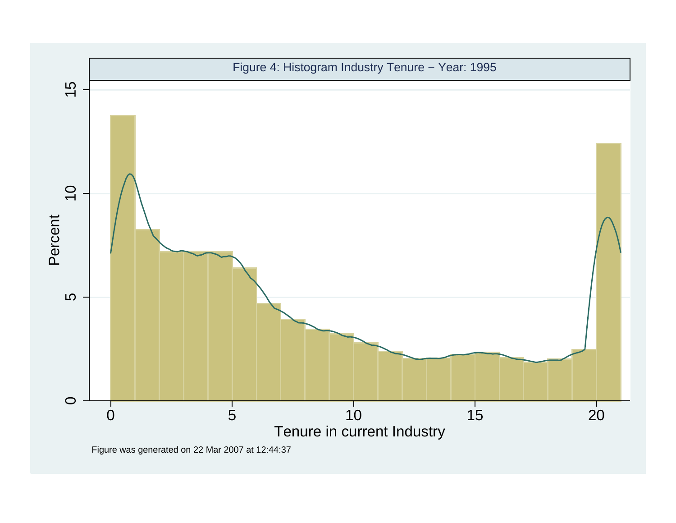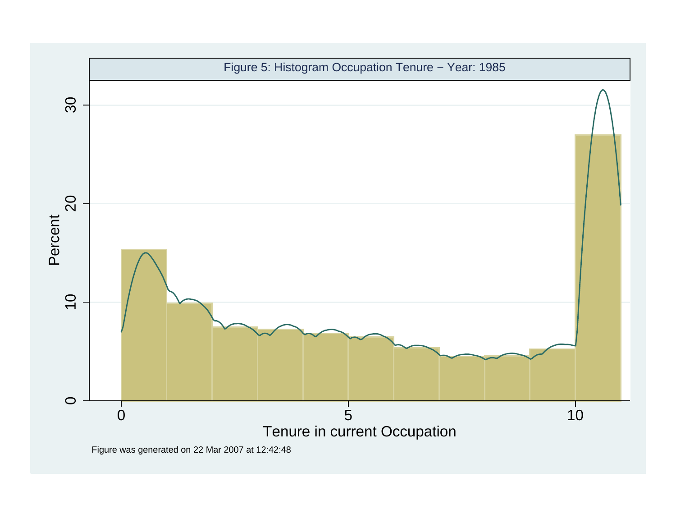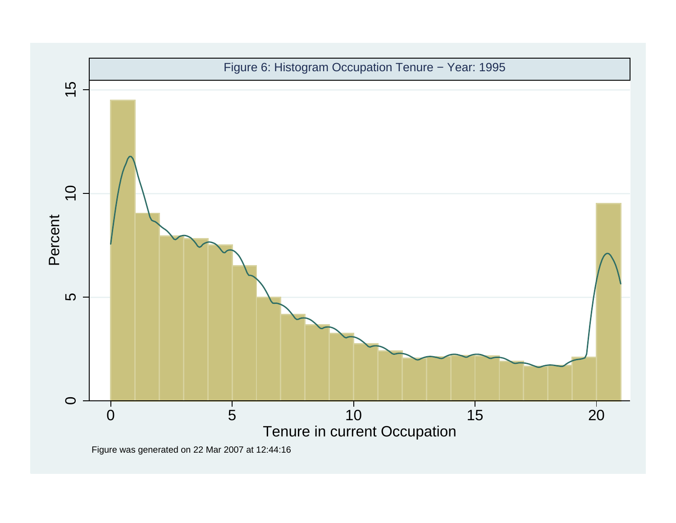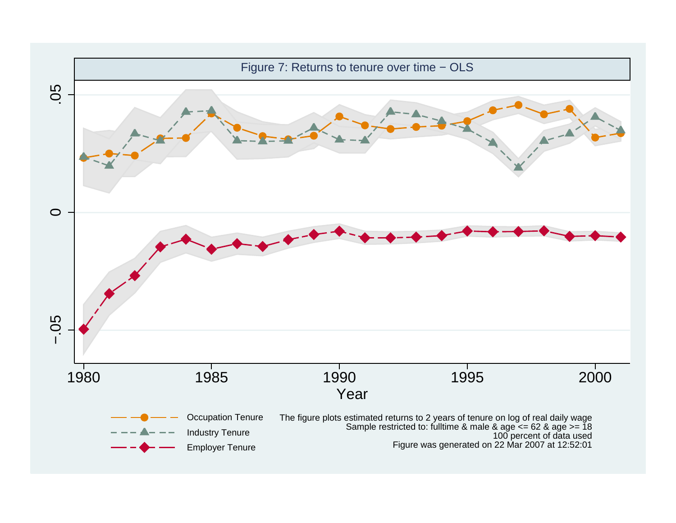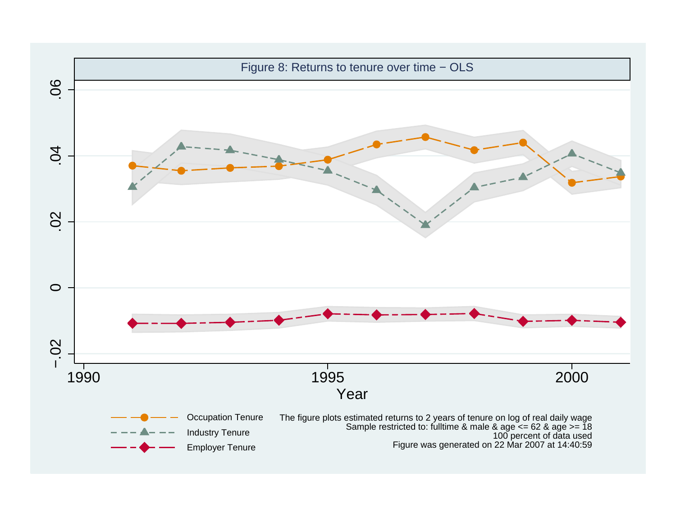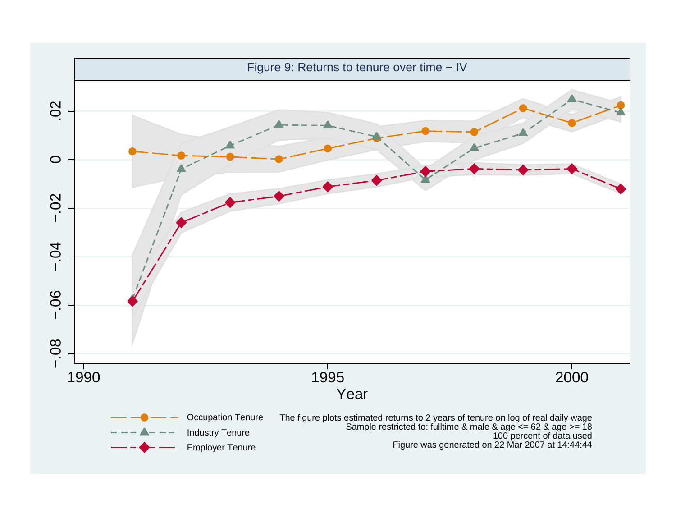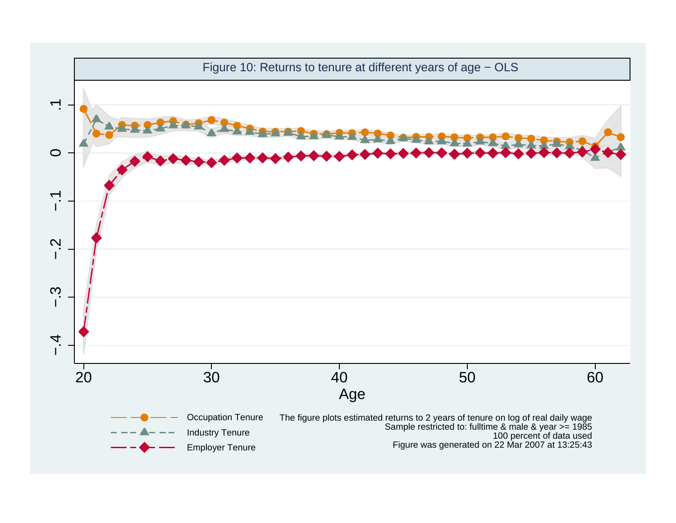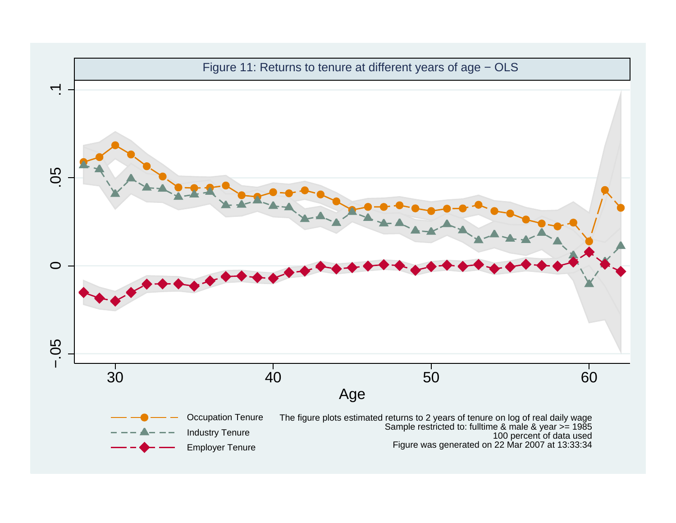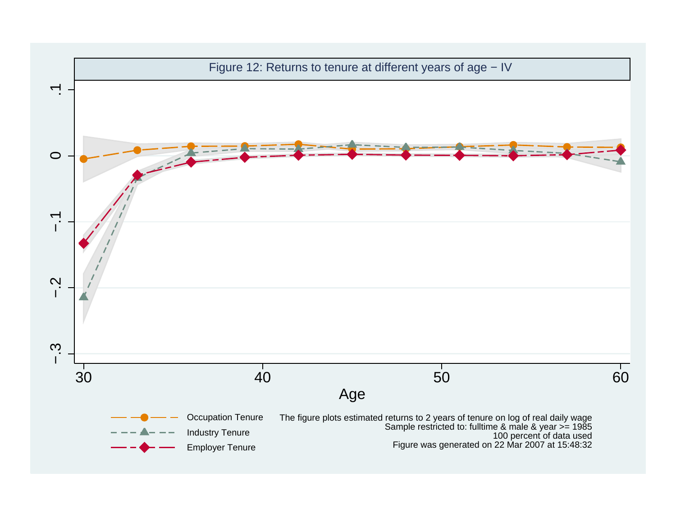